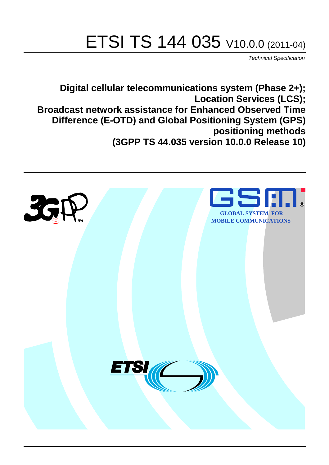# ETSI TS 144 035 V10.0.0 (2011-04)

*Technical Specification*

**Digital cellular telecommunications system (Phase 2+); Location Services (LCS); Broadcast network assistance for Enhanced Observed Time Difference (E-OTD) and Global Positioning System (GPS) positioning methods (3GPP TS 44.035 version 10.0.0 Release 10)**

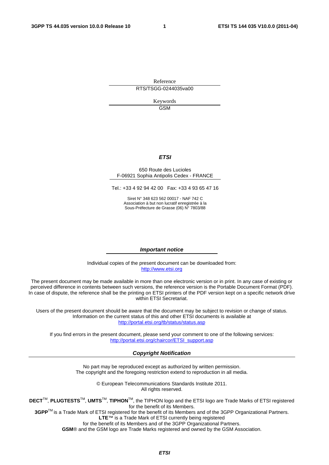Reference RTS/TSGG-0244035va00

> Keywords GSM

### *ETSI*

#### 650 Route des Lucioles F-06921 Sophia Antipolis Cedex - FRANCE

Tel.: +33 4 92 94 42 00 Fax: +33 4 93 65 47 16

Siret N° 348 623 562 00017 - NAF 742 C Association à but non lucratif enregistrée à la Sous-Préfecture de Grasse (06) N° 7803/88

#### *Important notice*

Individual copies of the present document can be downloaded from: [http://www.etsi.org](http://www.etsi.org/)

The present document may be made available in more than one electronic version or in print. In any case of existing or perceived difference in contents between such versions, the reference version is the Portable Document Format (PDF). In case of dispute, the reference shall be the printing on ETSI printers of the PDF version kept on a specific network drive within ETSI Secretariat.

Users of the present document should be aware that the document may be subject to revision or change of status. Information on the current status of this and other ETSI documents is available at <http://portal.etsi.org/tb/status/status.asp>

If you find errors in the present document, please send your comment to one of the following services: [http://portal.etsi.org/chaircor/ETSI\\_support.asp](http://portal.etsi.org/chaircor/ETSI_support.asp)

#### *Copyright Notification*

No part may be reproduced except as authorized by written permission. The copyright and the foregoing restriction extend to reproduction in all media.

> © European Telecommunications Standards Institute 2011. All rights reserved.

**DECT**TM, **PLUGTESTS**TM, **UMTS**TM, **TIPHON**TM, the TIPHON logo and the ETSI logo are Trade Marks of ETSI registered for the benefit of its Members.

**3GPP**TM is a Trade Mark of ETSI registered for the benefit of its Members and of the 3GPP Organizational Partners. **LTE**™ is a Trade Mark of ETSI currently being registered

for the benefit of its Members and of the 3GPP Organizational Partners.

**GSM**® and the GSM logo are Trade Marks registered and owned by the GSM Association.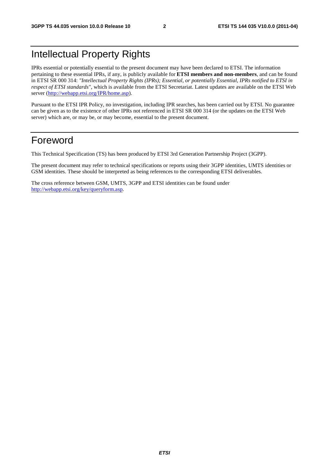# Intellectual Property Rights

IPRs essential or potentially essential to the present document may have been declared to ETSI. The information pertaining to these essential IPRs, if any, is publicly available for **ETSI members and non-members**, and can be found in ETSI SR 000 314: *"Intellectual Property Rights (IPRs); Essential, or potentially Essential, IPRs notified to ETSI in respect of ETSI standards"*, which is available from the ETSI Secretariat. Latest updates are available on the ETSI Web server ([http://webapp.etsi.org/IPR/home.asp\)](http://webapp.etsi.org/IPR/home.asp).

Pursuant to the ETSI IPR Policy, no investigation, including IPR searches, has been carried out by ETSI. No guarantee can be given as to the existence of other IPRs not referenced in ETSI SR 000 314 (or the updates on the ETSI Web server) which are, or may be, or may become, essential to the present document.

# Foreword

This Technical Specification (TS) has been produced by ETSI 3rd Generation Partnership Project (3GPP).

The present document may refer to technical specifications or reports using their 3GPP identities, UMTS identities or GSM identities. These should be interpreted as being references to the corresponding ETSI deliverables.

The cross reference between GSM, UMTS, 3GPP and ETSI identities can be found under [http://webapp.etsi.org/key/queryform.asp.](http://webapp.etsi.org/key/queryform.asp)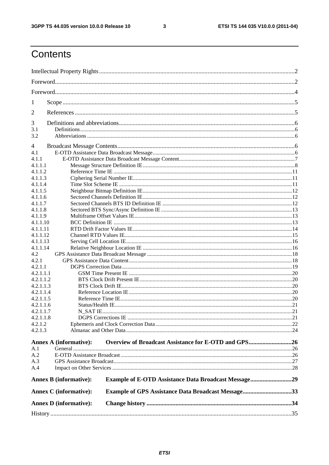$\mathbf{3}$ 

# Contents

| 1          |                               |                                                           |  |
|------------|-------------------------------|-----------------------------------------------------------|--|
|            |                               |                                                           |  |
| 2          |                               |                                                           |  |
| 3          |                               |                                                           |  |
| 3.1<br>3.2 |                               |                                                           |  |
| 4          |                               |                                                           |  |
| 4.1        |                               |                                                           |  |
| 4.1.1      |                               |                                                           |  |
| 4.1.1.1    |                               |                                                           |  |
| 4.1.1.2    |                               |                                                           |  |
| 4.1.1.3    |                               |                                                           |  |
| 4.1.1.4    |                               |                                                           |  |
| 4.1.1.5    |                               |                                                           |  |
| 4.1.1.6    |                               |                                                           |  |
| 4.1.1.7    |                               |                                                           |  |
| 4.1.1.8    |                               |                                                           |  |
| 4.1.1.9    |                               |                                                           |  |
| 4.1.1.10   |                               |                                                           |  |
| 4.1.1.11   |                               |                                                           |  |
| 4.1.1.12   |                               |                                                           |  |
| 4.1.1.13   |                               |                                                           |  |
| 4.1.1.14   |                               |                                                           |  |
| 4.2        |                               |                                                           |  |
| 4.2.1      |                               |                                                           |  |
| 4.2.1.1    |                               |                                                           |  |
| 4.2.1.1.1  |                               |                                                           |  |
| 4.2.1.1.2  |                               |                                                           |  |
| 4.2.1.1.3  |                               |                                                           |  |
| 4.2.1.1.4  |                               |                                                           |  |
| 4.2.1.1.5  |                               |                                                           |  |
| 4.2.1.1.6  |                               |                                                           |  |
| 4.2.1.1.7  |                               |                                                           |  |
| 4.2.1.1.8  |                               |                                                           |  |
| 4.2.1.2    |                               |                                                           |  |
| 4.2.1.3    |                               |                                                           |  |
|            |                               |                                                           |  |
|            | <b>Annex A (informative):</b> | Overview of Broadcast Assistance for E-OTD and GPS26      |  |
| A.1        |                               |                                                           |  |
| A.2        |                               |                                                           |  |
| A.3        |                               |                                                           |  |
| A.4        |                               |                                                           |  |
|            | <b>Annex B (informative):</b> | Example of E-OTD Assistance Data Broadcast Message29      |  |
|            | <b>Annex C</b> (informative): | <b>Example of GPS Assistance Data Broadcast Message33</b> |  |
|            |                               |                                                           |  |
|            | <b>Annex D</b> (informative): |                                                           |  |
|            |                               |                                                           |  |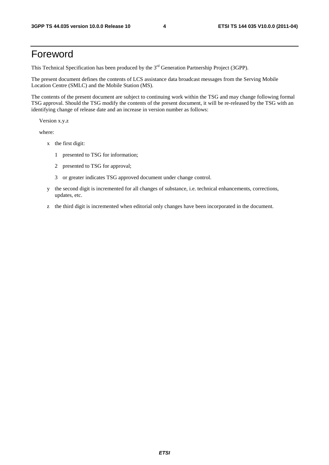# Foreword

This Technical Specification has been produced by the 3<sup>rd</sup> Generation Partnership Project (3GPP).

The present document defines the contents of LCS assistance data broadcast messages from the Serving Mobile Location Centre (SMLC) and the Mobile Station (MS).

The contents of the present document are subject to continuing work within the TSG and may change following formal TSG approval. Should the TSG modify the contents of the present document, it will be re-released by the TSG with an identifying change of release date and an increase in version number as follows:

Version x.y.z

where:

- x the first digit:
	- 1 presented to TSG for information;
	- 2 presented to TSG for approval;
	- 3 or greater indicates TSG approved document under change control.
- y the second digit is incremented for all changes of substance, i.e. technical enhancements, corrections, updates, etc.
- z the third digit is incremented when editorial only changes have been incorporated in the document.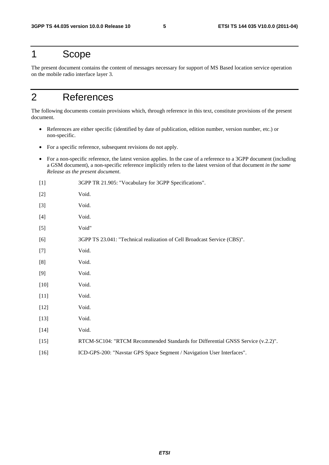# 1 Scope

The present document contains the content of messages necessary for support of MS Based location service operation on the mobile radio interface layer 3.

# 2 References

The following documents contain provisions which, through reference in this text, constitute provisions of the present document.

- References are either specific (identified by date of publication, edition number, version number, etc.) or non-specific.
- For a specific reference, subsequent revisions do not apply.
- For a non-specific reference, the latest version applies. In the case of a reference to a 3GPP document (including a GSM document), a non-specific reference implicitly refers to the latest version of that document *in the same Release as the present document*.

| $[1]$  | 3GPP TR 21.905: "Vocabulary for 3GPP Specifications".                           |
|--------|---------------------------------------------------------------------------------|
| $[2]$  | Void.                                                                           |
| $[3]$  | Void.                                                                           |
| $[4]$  | Void.                                                                           |
| $[5]$  | Void"                                                                           |
| [6]    | 3GPP TS 23.041: "Technical realization of Cell Broadcast Service (CBS)".        |
| $[7]$  | Void.                                                                           |
| [8]    | Void.                                                                           |
| [9]    | Void.                                                                           |
| $[10]$ | Void.                                                                           |
| $[11]$ | Void.                                                                           |
| $[12]$ | Void.                                                                           |
| $[13]$ | Void.                                                                           |
| $[14]$ | Void.                                                                           |
| $[15]$ | RTCM-SC104: "RTCM Recommended Standards for Differential GNSS Service (v.2.2)". |
| $[16]$ | ICD-GPS-200: "Navstar GPS Space Segment / Navigation User Interfaces".          |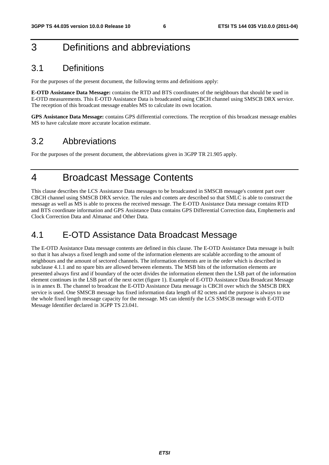# 3 Definitions and abbreviations

# 3.1 Definitions

For the purposes of the present document, the following terms and definitions apply:

**E-OTD Assistance Data Message:** contains the RTD and BTS coordinates of the neighbours that should be used in E-OTD measurements. This E-OTD Assistance Data is broadcasted using CBCH channel using SMSCB DRX service. The reception of this broadcast message enables MS to calculate its own location.

**GPS Assistance Data Message:** contains GPS differential corrections. The reception of this broadcast message enables MS to have calculate more accurate location estimate.

# 3.2 Abbreviations

For the purposes of the present document, the abbreviations given in 3GPP TR 21.905 apply.

# 4 Broadcast Message Contents

This clause describes the LCS Assistance Data messages to be broadcasted in SMSCB message's content part over CBCH channel using SMSCB DRX service. The rules and contets are described so that SMLC is able to construct the message as well as MS is able to process the received message. The E-OTD Assistance Data message contains RTD and BTS coordinate information and GPS Assistance Data contains GPS Differential Correction data, Emphemeris and Clock Correction Data and Almanac and Other Data.

# 4.1 E-OTD Assistance Data Broadcast Message

The E-OTD Assistance Data message contents are defined in this clause. The E-OTD Assistance Data message is built so that it has always a fixed length and some of the information elements are scalable according to the amount of neighbours and the amount of sectored channels. The information elements are in the order which is described in subclause 4.1.1 and no spare bits are allowed between elements. The MSB bits of the information elements are presented always first and if boundary of the octet divides the information element then the LSB part of the information element continues in the LSB part of the next octet (figure 1). Example of E-OTD Assistance Data Broadcast Message is in annex B. The channel to broadcast the E-OTD Assistance Data message is CBCH over which the SMSCB DRX service is used. One SMSCB message has fixed information data length of 82 octets and the purpose is always to use the whole fixed length message capacity for the message. MS can identify the LCS SMSCB message with E-OTD Message Identifier declared in 3GPP TS 23.041.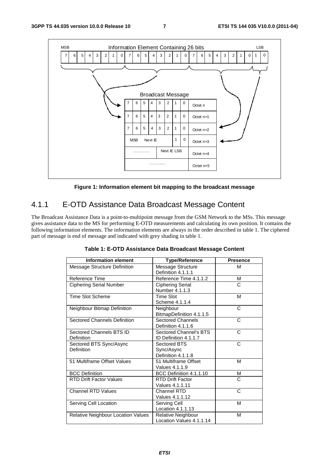

**Figure 1: Information element bit mapping to the broadcast message** 

# 4.1.1 E-OTD Assistance Data Broadcast Message Content

The Broadcast Assistance Data is a point-to-multipoint message from the GSM Network to the MSs. This message gives assistance data to the MS for performing E-OTD measurements and calculating its own position. It contains the following information elements. The information elements are always in the order described in table 1. The ciphered part of message is end of message and indicated with grey shading in table 1.

| <b>Information element</b>             | <b>Type/Reference</b>                            | <b>Presence</b> |
|----------------------------------------|--------------------------------------------------|-----------------|
| Message Structure Definition           | Message Structure<br>Definition 4.1.1.1          | M               |
| Reference Time                         | Reference Time 4.1.1.2                           | м               |
| <b>Ciphering Serial Number</b>         | <b>Ciphering Serial</b><br>Number 4.1.1.3        | C               |
| <b>Time Slot Scheme</b>                | <b>Time Slot</b><br>Scheme 4.1.1.4               | М               |
| Neighbour Bitmap Definition            | Neighbour<br>BitmapDefinition 4.1.1.5            | C               |
| <b>Sectored Channels Definition</b>    | <b>Sectored Channels</b><br>Definition 4.1.1.6   | C               |
| Sectored Channels BTS ID<br>Definition | Sectored Channel's BTS<br>ID Definition 4.1.1.7  | C               |
| Sectored BTS Sync/Async<br>Definition  | Sectored BTS<br>Sync/Async<br>Definition 4.1.1.8 | C               |
| 51 Multiframe Offset Values            | 51 Multiframe Offset<br>Values 4.1.1.9           | M               |
| <b>BCC Definition</b>                  | BCC Definition 4.1.1.10                          | М               |
| <b>RTD Drift Factor Values</b>         | <b>RTD Drift Factor</b><br>Values 4.1.1.11       | C               |
| <b>Channel RTD Values</b>              | Channel RTD<br>Values 4.1.1.12                   | C               |
| Serving Cell Location                  | Serving Cell<br>Location 4.1.1.13                | M               |
| Relative Neighbour Location Values     | Relative Neighbour<br>Location Values 4.1.1.14   | М               |

**Table 1: E-OTD Assistance Data Broadcast Message Content**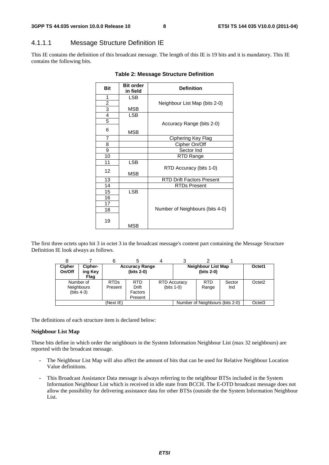# 4.1.1.1 Message Structure Definition IE

This IE contains the definition of this broadcast message. The length of this IE is 19 bits and it is mandatory. This IE contains the following bits.

| <b>Bit</b>     | <b>Bit order</b><br>in field | <b>Definition</b>                |
|----------------|------------------------------|----------------------------------|
| 1              | <b>LSB</b>                   |                                  |
| $\overline{2}$ |                              |                                  |
| 3              | MSB                          | Neighbour List Map (bits 2-0)    |
| $\overline{4}$ |                              |                                  |
|                | <b>LSB</b>                   |                                  |
| 5              |                              | Accuracy Range (bits 2-0)        |
| 6              | MSB                          |                                  |
| $\overline{7}$ |                              | Ciphering Key Flag               |
| 8              |                              | Cipher On/Off                    |
| 9              |                              | Sector Ind                       |
| 10             |                              | RTD Range                        |
| 11             | <b>LSB</b>                   |                                  |
| 12             | <b>MSB</b>                   | RTD Accuracy (bits 1-0)          |
| 13             |                              | <b>RTD Drift Factors Present</b> |
| 14             |                              | <b>RTDs Present</b>              |
| 15             | <b>LSB</b>                   |                                  |
| 16             |                              |                                  |
| 17             |                              |                                  |
| 18             |                              | Number of Neighbours (bits 4-0)  |
| 19             | MSB                          |                                  |

#### **Table 2: Message Structure Definition**

The first three octets upto bit 3 in octet 3 in the broadcast message's content part containing the Message Structure Definition IE look always as follows.

| <b>Cipher</b><br>On/Off                         | Cipher-<br>ing Key<br>Flag | <b>Accuracy Range</b><br>(bits 2-0) |                                           |  |                                      | Neighbour List Map<br>(bits 2-0) |               | Octet1             |
|-------------------------------------------------|----------------------------|-------------------------------------|-------------------------------------------|--|--------------------------------------|----------------------------------|---------------|--------------------|
| Number of<br><b>Neighbours</b><br>(bits $4-3$ ) |                            | <b>RTDs</b><br>Present              | <b>RTD</b><br>Drift<br>Factors<br>Present |  | <b>RTD Accuracy</b><br>(bits $1-0$ ) | <b>RTD</b><br>Range              | Sector<br>Ind | Octet <sub>2</sub> |
| (Next IE)                                       |                            |                                     |                                           |  |                                      | Number of Neighbours (bits 2-0)  |               | Octet <sub>3</sub> |

The definitions of each structure item is declared below:

#### **Neighbour List Map**

These bits define in which order the neighbours in the System Information Neighbour List (max 32 neighbours) are reported with the broadcast message.

- The Neighbour List Map will also affect the amount of bits that can be used for Relative Neighbour Location Value definitions.
- This Broadcast Assistance Data message is always referring to the neighbour BTSs included in the System Information Neighbour List which is received in idle state from BCCH. The E-OTD broadcast message does not allow the possibility for delivering assistance data for other BTSs (outside the the System Information Neighbour List.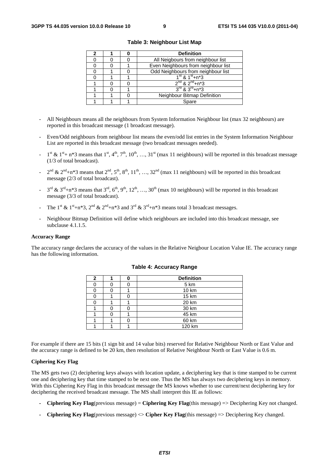|  | <b>Definition</b>                     |  |  |  |
|--|---------------------------------------|--|--|--|
|  | All Neigbours from neighbour list     |  |  |  |
|  | Even Neighbours from neighbour list   |  |  |  |
|  | Odd Neighbours from neighbour list    |  |  |  |
|  | $1st$ & $1st + n*3$                   |  |  |  |
|  | $2^{nd}$ & $2^{nd}$ +n <sup>*</sup> 3 |  |  |  |
|  | $3^{rd}$ & $3^{rd}$ +n*3              |  |  |  |
|  | Neighbour Bitmap Definition           |  |  |  |
|  | Spare                                 |  |  |  |

**Table 3: Neighbour List Map** 

- All Neighbours means all the neighbours from System Information Neighbour list (max 32 neighbours) are reported in this broadcast message (1 broadcast message).
- Even/Odd neighbours from neighbour list means the even/odd list entries in the System Information Neighbour List are reported in this broadcast message (two broadcast messages needed).
- $1^{st}$  &  $1^{st}$  + n\*3 means that  $1^{st}$ ,  $4^{th}$ ,  $7^{th}$ ,  $10^{th}$ , ...,  $31^{st}$  (max 11 neighbours) will be reported in this broadcast message (1/3 of total broadcast).
- $2^{nd}$  &  $2^{nd}$ +n\*3 means that  $2^{nd}$ ,  $5^{th}$ ,  $8^{th}$ ,  $11^{th}$ , …,  $32^{nd}$  (max 11 neighbours) will be reported in this broadcast message (2/3 of total broadcast).
- $3^{\text{rd}}$  &  $3^{\text{rd}}+n*3$  means that  $3^{\text{rd}}, 6^{\text{th}}, 9^{\text{th}}, 12^{\text{th}}, ..., 30^{\text{th}}$  (max 10 neighbours) will be reported in this broadcast message (3/3 of total broadcast).
- The 1<sup>st</sup> & 1<sup>st</sup>+n\*3, 2<sup>nd</sup> & 2<sup>nd</sup>+n\*3 and 3<sup>rd</sup> & 3<sup>rd</sup>+n\*3 means total 3 broadcast messages.
- Neighbour Bitmap Definition will define which neighbours are included into this broadcast message, see subclause 4.1.1.5.

#### **Accuracy Range**

The accuracy range declares the accuracy of the values in the Relative Neigbour Location Value IE. The accuracy range has the following information.

| າ |  | <b>Definition</b> |
|---|--|-------------------|
|   |  | 5 km              |
|   |  | 10 km             |
|   |  | 15 km             |
|   |  | 20 km             |
|   |  | 30 km             |
|   |  | 45 km             |
|   |  | 60 km             |
|   |  | 120 km            |

#### **Table 4: Accuracy Range**

For example if there are 15 bits (1 sign bit and 14 value bits) reserved for Relative Neighbour North or East Value and the accuracy range is defined to be 20 km, then resolution of Relative Neighbour North or East Value is 0.6 m.

#### **Ciphering Key Flag**

The MS gets two (2) deciphering keys always with location update, a deciphering key that is time stamped to be current one and deciphering key that time stamped to be next one. Thus the MS has always two deciphering keys in memory. With this Ciphering Key Flag in this broadcast message the MS knows whether to use current/next deciphering key for deciphering the received broadcast message. The MS shall interpret this IE as follows:

- **Ciphering Key Flag**(previous message) = **Ciphering Key Flag**(this message) => Deciphering Key not changed.
- **Ciphering Key Flag**(previous message) <> **Cipher Key Flag**(this message) => Deciphering Key changed.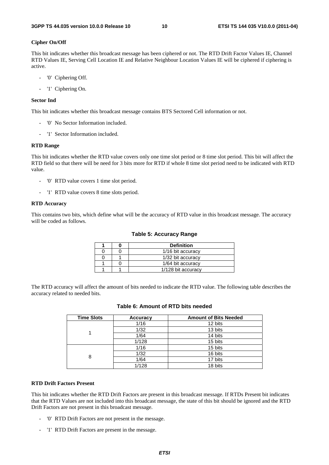#### **Cipher On/Off**

This bit indicates whether this broadcast message has been ciphered or not. The RTD Drift Factor Values IE, Channel RTD Values IE, Serving Cell Location IE and Relative Neighbour Location Values IE will be ciphered if ciphering is active.

- '0' Ciphering Off.
- '1' Ciphering On.

#### **Sector Ind**

This bit indicates whether this broadcast message contains BTS Sectored Cell information or not.

- '0' No Sector Information included.
- '1' Sector Information included.

#### **RTD Range**

This bit indicates whether the RTD value covers only one time slot period or 8 time slot period. This bit will affect the RTD field so that there will be need for 3 bits more for RTD if whole 8 time slot period need to be indicated with RTD value.

- '0' RTD value covers 1 time slot period.
- '1' RTD value covers 8 time slots period.

#### **RTD Accuracy**

This contains two bits, which define what will be the accuracy of RTD value in this broadcast message. The accuracy will be coded as follows.

#### **Table 5: Accuracy Range**

|  | <b>Definition</b>  |
|--|--------------------|
|  | 1/16 bit accuracy  |
|  | 1/32 bit accuracy  |
|  | 1/64 bit accuracy  |
|  | 1/128 bit accuracy |

The RTD accuracy will affect the amount of bits needed to indicate the RTD value. The following table describes the accuracy related to needed bits.

| <b>Time Slots</b> | Accuracy | <b>Amount of Bits Needed</b> |
|-------------------|----------|------------------------------|
|                   | 1/16     | 12 bits                      |
|                   | 1/32     | 13 bits                      |
|                   | 1/64     | 14 bits                      |
|                   | 1/128    | 15 bits                      |
|                   | 1/16     | 15 bits                      |
| 8                 | 1/32     | 16 bits                      |
|                   | 1/64     | 17 bits                      |
|                   | 1/128    | 18 bits                      |

### **Table 6: Amount of RTD bits needed**

#### **RTD Drift Factors Present**

This bit indicates whether the RTD Drift Factors are present in this broadcast message. If RTDs Present bit indicates that the RTD Values are not included into this broadcast message, the state of this bit should be ignored and the RTD Drift Factors are not present in this broadcast message.

- '0' RTD Drift Factors are not present in the message.
- '1' RTD Drift Factors are present in the message.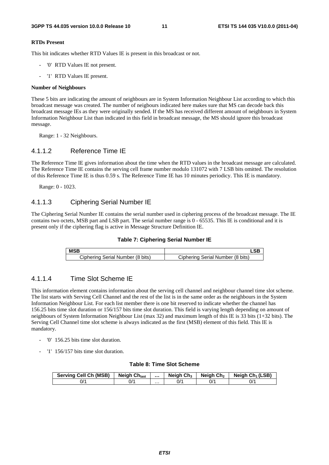#### **RTDs Present**

This bit indicates whether RTD Values IE is present in this broadcast or not.

- '0' RTD Values IE not present.
- '1' RTD Values IE present.

#### **Number of Neighbours**

These 5 bits are indicating the amount of neighbours are in System Information Neighbour List according to which this broadcast message was created. The number of neigbours indicated here makes sure that MS can decode back this broadcast message IEs as they were originally sended. If the MS has received different amount of neighbours in System Information Neighbour List than indicated in this field in broadcast message, the MS should ignore this broadcast message.

Range: 1 - 32 Neighbours.

### 4.1.1.2 Reference Time IE

The Reference Time IE gives information about the time when the RTD values in the broadcast message are calculated. The Reference Time IE contains the serving cell frame number modulo 131072 with 7 LSB bits omitted. The resolution of this Reference Time IE is thus 0.59 s. The Reference Time IE has 10 minutes periodicy. This IE is mandatory.

Range: 0 - 1023.

### 4.1.1.3 Ciphering Serial Number IE

The Ciphering Serial Number IE contains the serial number used in ciphering process of the broadcast message. The IE contains two octets, MSB part and LSB part. The serial number range is 0 - 65535. This IE is conditional and it is present only if the ciphering flag is active in Message Structure Definition IE.

#### **Table 7: Ciphering Serial Number IE**

| <b>MSB</b>                       | <b>CD</b>                        |
|----------------------------------|----------------------------------|
| Ciphering Serial Number (8 bits) | Ciphering Serial Number (8 bits) |

### 4.1.1.4 Time Slot Scheme IE

This information element contains information about the serving cell channel and neighbour channel time slot scheme. The list starts with Serving Cell Channel and the rest of the list is in the same order as the neighbours in the System Information Neighbour List. For each list member there is one bit reserved to indicate whether the channel has 156.25 bits time slot duration or 156/157 bits time slot duration. This field is varying length depending on amount of neighbours of System Information Neighbour List (max 32) and maximum length of this IE is 33 bits (1+32 bits). The Serving Cell Channel time slot scheme is always indicated as the first (MSB) element of this field. This IE is mandatory.

- '0' 156.25 bits time slot duration.
- '1' 156/157 bits time slot duration.

#### **Table 8: Time Slot Scheme**

| <b>Serving Cell Ch (MSB)</b> | <b>Neigh Ch<sub>last</sub></b> |   | <b>Neigh Ch<sub>3</sub></b> | Neiah Ch2 | Neigh $Ch_1(LSB)$ |
|------------------------------|--------------------------------|---|-----------------------------|-----------|-------------------|
| ^/0                          | ^/0                            | . | ^/0                         | 0/1       | ^/0               |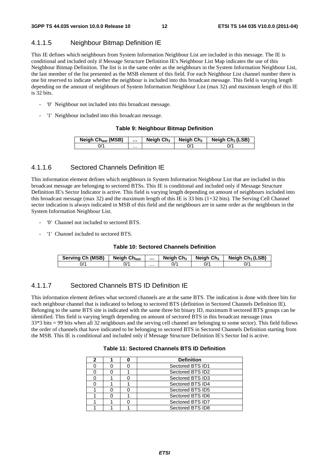## 4.1.1.5 Neighbour Bitmap Definition IE

This IE defines which neighbours from System Information Neighbour List are included in this message. The IE is conditional and included only if Message Structure Definition IE's Neighbour List Map indicates the use of this Neighbour Bitmap Definition. The list is in the same order as the neighbours in the System Information Neighbour List, the last member of the list presented as the MSB element of this field. For each Neighbour List channel number there is one bit reserved to indicate whether the neighbour is included into this broadcast message. This field is varying length depending on the amount of neighbours of System Information Neighbour List (max 32) and maximum length of this IE is 32 bits.

- '0' Neighbour not included into this broadcast message.
- '1' Neighbour included into this broadcast message.

#### **Table 9: Neighbour Bitmap Definition**

| Neigh Ch <sub>last</sub> (MSB) |   | Neigh $Ch3$ | Neiah Ch2 | Neigh $Ch_1(LSB)$ |
|--------------------------------|---|-------------|-----------|-------------------|
| $J^{\prime}$                   | . |             |           |                   |

### 4.1.1.6 Sectored Channels Definition IE

This information element defines which neighbours in System Information Neighbour List that are included in this broadcast message are belonging to sectored BTSs. This IE is conditional and included only if Message Structure Definition IE's Sector Indicator is active. This field is varying length depending on amount of neighbours included into this broadcast message (max 32) and the maximum length of this IE is 33 bits (1+32 bits). The Serving Cell Channel sector indication is always indicated in MSB of this field and the neighbours are in same order as the neighbours in the System Information Neighbour List.

- '0' Channel not included to sectored BTS.
- '1' Channel included to sectored BTS.

#### **Table 10: Sectored Channels Definition**

| <b>Serving Ch (MSB)</b> | <b>Neigh Chlast</b> |   | Neigh $Ch_3$ | Neiah Ch2 | Neigh $Ch_1(LSB)$ |
|-------------------------|---------------------|---|--------------|-----------|-------------------|
| 0/'                     | 0/1                 | . |              | ^/0       | 0/1               |

### 4.1.1.7 Sectored Channels BTS ID Definition IE

This information element defines what sectored channels are at the same BTS. The indication is done with three bits for each neighbour channel that is indicated to belong to sectored BTS (definition in Sectored Channels Definition IE). Belonging to the same BTS site is indicated with the same three bit binary ID, maximum 8 sectored BTS groups can be identified. This field is varying length depending on amount of sectored BTS in this broadcast message (max 33\*3 bits = 99 bits when all 32 neighbours and the serving cell channel are belonging to some sector). This field follows the order of channels that have indicated to be belonging to sectored BTS in Sectored Channels Definition starting from the MSB. This IE is conditional and included only if Message Structure Definition IE's Sector Ind is active.

#### **Table 11: Sectored Channels BTS ID Definition**

| 2 |  | <b>Definition</b> |
|---|--|-------------------|
|   |  | Sectored BTS ID1  |
|   |  | Sectored BTS ID2  |
|   |  | Sectored BTS ID3  |
|   |  | Sectored BTS ID4  |
|   |  | Sectored BTS ID5  |
|   |  | Sectored BTS ID6  |
|   |  | Sectored BTS ID7  |
|   |  | Sectored BTS ID8  |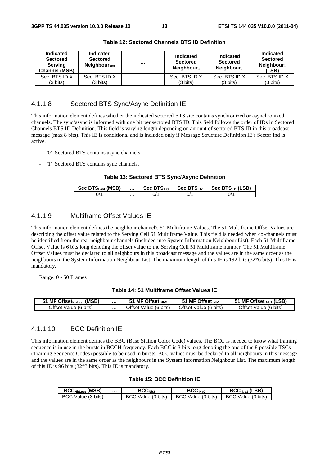| Indicated<br><b>Sectored</b><br><b>Serving</b><br><b>Channel (MSB)</b> | Indicated<br><b>Sectored</b><br>Neighbour <sub>last</sub> | $\cdots$ | Indicated<br><b>Sectored</b><br>Neighbour <sub>3</sub> | Indicated<br><b>Sectored</b><br>Neighbour <sub>2</sub> | Indicated<br><b>Sectored</b><br>Neighbour <sub>1</sub><br>(LSB) |
|------------------------------------------------------------------------|-----------------------------------------------------------|----------|--------------------------------------------------------|--------------------------------------------------------|-----------------------------------------------------------------|
| Sec. BTS ID X                                                          | Sec. BTS ID X                                             |          | Sec. BTS ID X                                          | Sec. BTS ID X                                          | Sec. BTS ID X                                                   |
| $(3 \text{ bits})$                                                     | $(3 \text{ bits})$                                        | $\cdots$ | (3 bits)                                               | $(3 \text{ bits})$                                     | $(3 \text{ bits})$                                              |

**Table 12: Sectored Channels BTS ID Definition** 

### 4.1.1.8 Sectored BTS Sync/Async Definition IE

This information element defines whether the indicated sectored BTS site contains synchronized or asynchronized channels. The sync/async is informed with one bit per sectored BTS ID. This field follows the order of IDs in Sectored Channels BTS ID Definition. This field is varying length depending on amount of sectored BTS ID in this broadcast message (max 8 bits). This IE is conditional and is included only if Message Structure Definition IE's Sector Ind is active.

- '0' Sectored BTS contains async channels.
- '1' Sectored BTS contains sync channels.

#### **Table 13: Sectored BTS Sync/Async Definition**

| Sec BTS <sub>Last</sub> (MSB) |   | Sec $BTS1D3$ | Sec $BTSID2$ | Sec BTS <sub>ID1</sub> (LSB) |
|-------------------------------|---|--------------|--------------|------------------------------|
|                               | . | IJ           | $J^{\prime}$ | $\sqrt{ }$                   |

### 4.1.1.9 Multiframe Offset Values IE

This information element defines the neighbour channel's 51 Multiframe Values. The 51 Multiframe Offset Values are describing the offset value related to the Serving Cell 51 Multiframe Value. This field is needed when co-channels must be identified from the real neighbour channels (included into System Information Neighbour List). Each 51 Multiframe Offset Value is 6 bits long denoting the offset value to the Serving Cell 51 Multiframe number. The 51 Multiframe Offset Values must be declared to all neighbours in this broadcast message and the values are in the same order as the neighbours in the System Information Neighbour List. The maximum length of this IE is 192 bits (32\*6 bits). This IE is mandatory.

Range: 0 - 50 Frames

#### **Table 14: 51 Multiframe Offset Values IE**

| Offset <sub>NbLast</sub> (MSB)<br>MF |   | MF Offset Nb3                   | MF Offset $_{Nb2}$    | (LSB)<br>MF Offset <sub>Nb1</sub>      |
|--------------------------------------|---|---------------------------------|-----------------------|----------------------------------------|
| Offset Value (6 bits)                | . | ∖ Offset<br>. (6 bits)<br>Value | Offset Value (6 bits) | <b>Offset</b> ∖<br>⊧ (6 bits`<br>Value |

### 4.1.1.10 BCC Definition IE

This information element defines the BBC (Base Station Color Code) values. The BCC is needed to know what training sequence is in use in the bursts in BCCH frequency. Each BCC is 3 bits long denoting the one of the 8 possible TSCs (Training Sequence Codes) possible to be used in bursts. BCC values must be declared to all neighbours in this message and the values are in the same order as the neighbours in the System Information Neighbour List. The maximum length of this IE is 96 bits (32\*3 bits). This IE is mandatory.

#### **Table 15: BCC Definition IE**

| <b>BCC<sub>NbLast</sub></b> (MSB) |   | BCC <sub>Nh3</sub>     | BCC <sub>Nb2</sub> | $BCCNb1$ (LSB)     |
|-----------------------------------|---|------------------------|--------------------|--------------------|
| BCC Value (3 bits)                | . | Value (3 bits)<br>BCC. | BCC Value (3 bits) | BCC Value (3 bits) |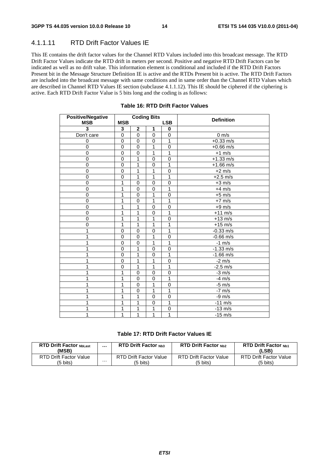# 4.1.1.11 RTD Drift Factor Values IE

This IE contains the drift factor values for the Channel RTD Values included into this broadcast message. The RTD Drift Factor Values indicate the RTD drift in meters per second. Positive and negative RTD Drift Factors can be indicated as well as no drift value. This information element is conditional and included if the RTD Drift Factors Present bit in the Message Structure Definition IE is active and the RTDs Present bit is active. The RTD Drift Factors are included into the broadcast message with same conditions and in same order than the Channel RTD Values which are described in Channel RTD Values IE section (subclause 4.1.1.12). This IE should be ciphered if the ciphering is active. Each RTD Drift Factor Value is 5 bits long and the coding is as follows:

| <b>Positive/Negative</b> |                |                | <b>Coding Bits</b> |             | <b>Definition</b> |
|--------------------------|----------------|----------------|--------------------|-------------|-------------------|
| <b>MSB</b>               | <b>MSB</b>     |                |                    | <b>LSB</b>  |                   |
| 3                        | 3              | $\mathbf 2$    | 1                  | 0           |                   |
| Don't care               | 0              | $\mathbf 0$    | $\Omega$           | 0           | $0 \text{ m/s}$   |
| 0                        | 0              | $\mathbf 0$    | $\Omega$           | 1           | $+0.33$ m/s       |
| $\mathbf 0$              | $\overline{0}$ | $\overline{0}$ | 1                  | $\mathbf 0$ | $+0.66$ m/s       |
| $\mathbf 0$              | 0              | $\mathbf 0$    | 1                  | 1           | $+1$ m/s          |
| 0                        | 0              | $\mathbf{1}$   | $\mathbf 0$        | $\mathbf 0$ | $+1.33$ m/s       |
| $\overline{0}$           | 0              | 1              | $\mathbf 0$        | 1           | $+1.66$ m/s       |
| $\mathbf 0$              | 0              | 1              | 1                  | $\mathbf 0$ | $+2$ m/s          |
| 0                        | 0              | 1              | 1                  | 1           | $+2.5$ m/s        |
| 0                        | 1              | $\mathbf 0$    | $\mathbf 0$        | $\mathbf 0$ | $+3$ m/s          |
| $\mathbf 0$              | 1              | 0              | $\mathbf 0$        | 1           | $+4$ m/s          |
| 0                        | 1              | $\mathbf 0$    | 1                  | $\mathbf 0$ | $+5$ m/s          |
| $\mathbf 0$              | 1              | $\mathbf 0$    | 1                  | 1           | $+7$ m/s          |
| $\mathbf 0$              | 1              | 1              | $\overline{0}$     | $\mathbf 0$ | $+9$ m/s          |
| 0                        | 1              | 1              | $\mathbf 0$        | 1           | $+11$ m/s         |
| 0                        | 1              | 1              | 1                  | $\mathbf 0$ | $+13$ m/s         |
| $\overline{0}$           | 1              | 1              | 1                  | 1           | $+15$ m/s         |
| 1                        | $\mathbf 0$    | $\mathbf 0$    | $\mathbf 0$        | 1           | $-0.33$ m/s       |
| 1                        | 0              | $\mathbf 0$    | 1                  | $\mathbf 0$ | $-0.66$ m/s       |
| 1                        | 0              | 0              | 1                  | 1           | $-1$ m/s          |
|                          | 0              | 1              | $\Omega$           | $\Omega$    | $-1.33$ m/s       |
| 1                        | $\mathbf 0$    | 1              | $\Omega$           | 1           | $-1.66$ m/s       |
| 1                        | 0              | 1              | 1                  | $\mathbf 0$ | $-2 \frac{m}{s}$  |
| 1                        | 0              | 1              | 1                  | 1           | $-2.5$ m/s        |
| 1                        | 1              | 0              | $\mathbf 0$        | $\mathbf 0$ | $-3$ m/s          |
|                          | 1              | 0              | $\mathbf 0$        | 1           | $-4$ m/s          |
| 1                        | 1              | $\mathbf 0$    | 1                  | $\mathbf 0$ | $-5$ m/s          |
| 1                        | 1              | $\overline{0}$ | $\overline{1}$     | 1           | $-7$ m/s          |
| 1                        | 1              | 1              | $\mathbf 0$        | $\mathbf 0$ | $-9$ m/s          |
| 1                        | 1              | 1              | $\mathbf 0$        | 1           | $-11$ m/s         |
| 1                        | 1              | 1              | 1                  | 0           | $-13$ m/s         |
| 1                        | 1              | 1              | 1                  | 1           | $-15$ m/s         |

#### **Table 16: RTD Drift Factor Values**

#### **Table 17: RTD Drift Factor Values IE**

| <b>RTD Drift Factor NbLast</b><br>(MSB) |   | <b>RTD Drift Factor Nh3</b>   | <b>RTD Drift Factor Nb2</b>   | <b>RTD Drift Factor Nh1</b><br>(LSB) |
|-----------------------------------------|---|-------------------------------|-------------------------------|--------------------------------------|
| <b>RTD Drift Factor Value</b>           | . | <b>RTD Drift Factor Value</b> | <b>RTD Drift Factor Value</b> | RTD Drift Factor Value               |
| (5 bits)                                |   | (5 bits)                      | (5 bits)                      | (5 bits)                             |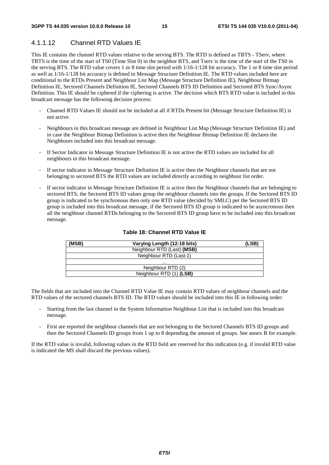# 4.1.1.12 Channel RTD Values IE

This IE contains the channel RTD values relative to the serving BTS. The RTD is defined as TBTS - TServ, where TBTS is the time of the start of TS0 (Time Slot 0) in the neighbor BTS, and Tserv is the time of the start of the TS0 in the serving BTS. The RTD value covers 1 or 8 time slot period with 1/16-1/128 bit accuracy. The 1 or 8 time slot period as well as 1/16-1/128 bit accuracy is defined in Message Structure Definition IE. The RTD values included here are conditional to the RTDs Present and Neighbour List Map (Message Structure Definition IE), Neighbour Bitmap Definition IE, Sectored Channels Definition IE, Sectored Channels BTS ID Definition and Sectored BTS Sync/Async Definition. This IE should be ciphered if the ciphering is active. The decision which BTS RTD value is included in this broadcast message has the following decision process:

- Channel RTD Values IE should not be included at all if RTDs Present bit (Message Structure Definition IE) is not active.
- Neighbours in this broadcast message are defined in Neighbour List Map (Message Structure Definition IE) and in case the Neighbour Bitmap Definition is active then the Neighbour Bitmap Definition IE declares the Neighbours included into this broadcast message.
- If Sector Indicator in Message Structure Definition IE is not active the RTD values are included for all neighbours in this broadcast message.
- If sector indicator in Message Structure Definition IE is active then the Neighbour channels that are not belonging to sectored BTS the RTD values are included directly according to neighbour list order.
- If sector indicator in Message Structure Definition IE is active then the Neighbour channels that are belonging to sectored BTS, the Sectored BTS ID values group the neighbour channels into the groups. If the Sectored BTS ID group is indicated to be synchronous then only one RTD value (decided by SMLC) per the Sectored BTS ID group is included into this broadcast message, if the Sectored BTS ID group is indicated to be asyncronous then all the neighbour channel RTDs belonging to the Sectored BTS ID group have to be included into this broadcast message.

| (MSB) | Varying Length (12-18 bits) | (LSB) |
|-------|-----------------------------|-------|
|       | Neighbour RTD (Last) (MSB)  |       |
|       | Neighbour RTD (Last-1)      |       |
|       | .                           |       |
|       | Neighbour RTD (2)           |       |
|       | Neighbour RTD (1) (LSB)     |       |

#### **Table 18: Channel RTD Value IE**

The fields that are included into the Channel RTD Value IE may contain RTD values of neighbour channels and the RTD values of the sectored channels BTS ID. The RTD values should be included into this IE in following order:

- Starting from the last channel in the System Information Neighbour List that is included into this broadcast message.
- First are reported the neighbour channels that are not belonging to the Sectored Channels BTS ID groups and then the Sectored Channels ID groups from 1 up to 8 depending the amount of groups. See annex B for example.

If the RTD value is invalid, following values in the RTD field are reserved for this indication (e.g. if invalid RTD value is indicated the MS shall discard the previous values).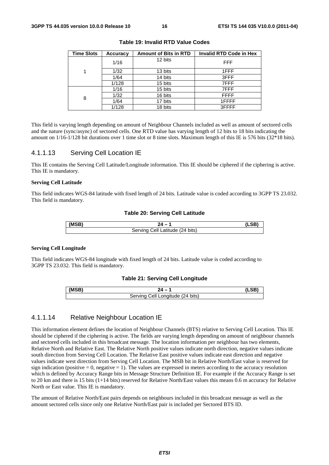| <b>Time Slots</b> | <b>Accuracy</b> | <b>Amount of Bits in RTD</b> | <b>Invalid RTD Code in Hex</b> |
|-------------------|-----------------|------------------------------|--------------------------------|
|                   | 1/16            | 12 bits                      | <b>FFF</b>                     |
| 1                 | 1/32            | 13 bits                      | 1FFF                           |
|                   | 1/64            | 14 bits                      | 3FFF                           |
|                   | 1/128           | 15 bits                      | 7FFF                           |
|                   | 1/16            | 15 bits                      | 7FFF                           |
| 8                 | 1/32            | 16 bits                      | <b>FFFF</b>                    |
|                   | 1/64            | 17 bits                      | 1FFFF                          |
|                   | 1/128           | 18 bits                      | 3FFFF                          |

**Table 19: Invalid RTD Value Codes** 

This field is varying length depending on amount of Neighbour Channels included as well as amount of sectored cells and the nature (sync/async) of sectored cells. One RTD value has varying length of 12 bits to 18 bits indicating the amount on 1/16-1/128 bit durations over 1 time slot or 8 time slots. Maximum length of this IE is 576 bits (32\*18 bits).

### 4.1.1.13 Serving Cell Location IE

This IE contains the Serving Cell Latitude/Longitude information. This IE should be ciphered if the ciphering is active. This IE is mandatory.

#### **Serving Cell Latitude**

This field indicates WGS-84 latitude with fixed length of 24 bits. Latitude value is coded according to 3GPP TS 23.032. This field is mandatory.

#### **Table 20: Serving Cell Latitude**

| (MED) |                                                    |  |
|-------|----------------------------------------------------|--|
|       | $(24 \text{ bits})$<br>Servina<br>.atıtude<br>اا≏∴ |  |

#### **Serving Cell Longitude**

This field indicates WGS-84 longitude with fixed length of 24 bits. Latitude value is coded according to 3GPP TS 23.032. This field is mandatory.

#### **Table 21: Serving Cell Longitude**

| (MSB) |                                           |  |
|-------|-------------------------------------------|--|
|       | اام:<br>'' Longitude (24 bits)<br>San≀inc |  |

### 4.1.1.14 Relative Neighbour Location IE

This information element defines the location of Neighbour Channels (BTS) relative to Serving Cell Location. This IE should be ciphered if the ciphering is active. The fields are varying length depending on amount of neighbour channels and sectored cells included in this broadcast message. The location information per neighbour has two elements, Relative North and Relative East. The Relative North positive values indicate north direction, negative values indicate south direction from Serving Cell Location. The Relative East positive values indicate east direction and negative values indicate west direction from Serving Cell Location. The MSB bit in Relative North/East value is reserved for sign indication (positive  $= 0$ , negative  $= 1$ ). The values are expressed in meters according to the accuracy resolution which is defined by Accuracy Range bits in Message Structure Definition IE. For example if the Accuracy Range is set to 20 km and there is 15 bits (1+14 bits) reserved for Relative North/East values this means 0.6 m accuracy for Relative North or East value. This IE is mandatory.

The amount of Relative North/East pairs depends on neighbours included in this broadcast message as well as the amount sectored cells since only one Relative North/East pair is included per Sectored BTS ID.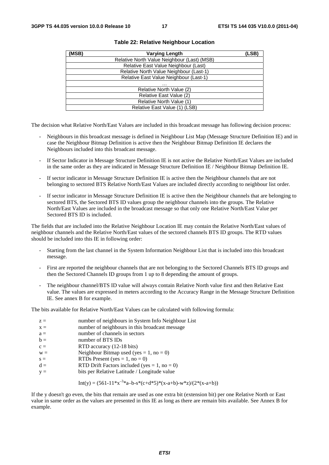| (MSB) | <b>Varying Length</b>                       | (LSB) |
|-------|---------------------------------------------|-------|
|       | Relative North Value Neighbour (Last) (MSB) |       |
|       | Relative East Value Neighbour (Last)        |       |
|       | Relative North Value Neighbour (Last-1)     |       |
|       | Relative East Value Neighbour (Last-1)      |       |
|       | .                                           |       |
|       | Relative North Value (2)                    |       |
|       | Relative East Value (2)                     |       |
|       | Relative North Value (1)                    |       |
|       | Relative East Value (1) (LSB)               |       |

#### **Table 22: Relative Neighbour Location**

The decision what Relative North/East Values are included in this broadcast message has following decision process:

- Neighbours in this broadcast message is defined in Neighbour List Map (Message Structure Definition IE) and in case the Neighbour Bitmap Definition is active then the Neighbour Bitmap Definition IE declares the Neighbours included into this broadcast message.
- If Sector Indicator in Message Structure Definition IE is not active the Relative North/East Values are included in the same order as they are indicated in Message Structure Definition IE / Neighbour Bitmap Definition IE.
- If sector indicator in Message Structure Definition IE is active then the Neighbour channels that are not belonging to sectored BTS Relative North/East Values are included directly according to neighbour list order.
- If sector indicator in Message Structure Definition IE is active then the Neighbour channels that are belonging to sectored BTS, the Sectored BTS ID values group the neighbour channels into the groups. The Relative North/East Values are included in the broadcast message so that only one Relative North/East Value per Sectored BTS ID is included.

The fields that are included into the Relative Neighbour Location IE may contain the Relative North/East values of neighbour channels and the Relative North/East values of the sectored channels BTS ID groups. The RTD values should be included into this IE in following order:

- Starting from the last channel in the System Information Neighbour List that is included into this broadcast message.
- First are reported the neighbour channels that are not belonging to the Sectored Channels BTS ID groups and then the Sectored Channels ID groups from 1 up to 8 depending the amount of groups.
- The neighbour channel/BTS ID value will always contain Relative North value first and then Relative East value. The values are expressed in meters according to the Accuracy Range in the Message Structure Definition IE. See annex B for example.

The bits available for Relative North/East Values can be calculated with following formula:

| $z =$<br>$x =$ | number of neighbours in System Info Neighbour List<br>number of neighbours in this broadcast message |
|----------------|------------------------------------------------------------------------------------------------------|
| $a =$          | number of channels in sectors                                                                        |
| $b =$          | number of BTS IDs                                                                                    |
| $c =$          | RTD accuracy (12-18 bits)                                                                            |
| $W =$          | Neighbour Bitmap used (yes = 1, no = 0)                                                              |
| $s =$          | RTDs Present (yes = $1$ , no = 0)                                                                    |
| $d =$          | RTD Drift Factors included (yes = $1$ , no = 0)                                                      |
| $V =$          | bits per Relative Latitude / Longitude value                                                         |

Int(y) = 
$$
(561-11*x^{-3}a-b-s*(c+d*5)*(x-a+b)-w*z)/(2*(x-a+b))
$$

If the y doesn't go even, the bits that remain are used as one extra bit (extension bit) per one Relative North or East value in same order as the values are presented in this IE as long as there are remain bits available. See Annex B for example.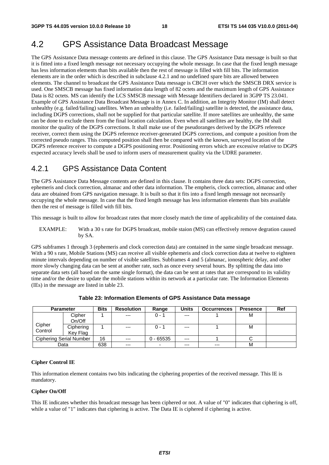# 4.2 GPS Assistance Data Broadcast Message

The GPS Assistance Data message contents are defined in this clause. The GPS Assistance Data message is built so that it is fitted into a fixed length message not necessary occupying the whole message. In case that the fixed length message has less information elements than bits available then the rest of message is filled with fill bits. The information elements are in the order which is described in subclause 4.2.1 and no undefined spare bits are allowed between elements. The channel to broadcast the GPS Assistance Data message is CBCH over which the SMSCB DRX service is used. One SMSCB message has fixed information data length of 82 octets and the maximum length of GPS Assistance Data is 82 octets. MS can identify the LCS SMSCB message with Message Identifiers declared in 3GPP TS 23.041. Example of GPS Assistance Data Broadcast Message is in Annex C. In addition, an Integrity Monitor (IM) shall detect unhealthy (e.g. failed/failing) satellites. When an unhealthy (i.e. failed/failing) satellite is detected, the assistance data, including DGPS corrections, shall not be supplied for that particular satellite. If more satellites are unhealthy, the same can be done to exclude them from the final location calculation. Even when all satellites are healthy, the IM shall monitor the quality of the DGPS corrections. It shall make use of the pseudoranges derived by the DGPS reference receiver, correct them using the DGPS reference receiver-generated DGPS corrections, and compute a position from the corrected pseudo ranges. This computed position shall then be compared with the known, surveyed location of the DGPS reference receiver to compute a DGPS positioning error. Positioning errors which are excessive relative to DGPS expected accuracy levels shall be used to inform users of measurement quality via the UDRE parameter.

# 4.2.1 GPS Assistance Data Content

The GPS Assistance Data Message contents are defined in this clause. It contains three data sets: DGPS correction, ephemeris and clock correction, almanac and other data information. The empheris, clock correction, almanac and other data are obtained from GPS navigation message. It is built so that it fits into a fixed length message not necessarily occupying the whole message. In case that the fixed length message has less information elements than bits available then the rest of message is filled with fill bits.

This message is built to allow for broadcast rates that more closely match the time of applicability of the contained data.

EXAMPLE: With a 30 s rate for DGPS broadcast, mobile staion (MS) can effectively remove degration caused by SA.

GPS subframes 1 through 3 (ephemeris and clock correction data) are contained in the same single broadcast message. With a 90 s rate, Mobile Stations (MS) can receive all visible ephemeris and clock correction data at twelve to eighteen minute intervals depending on number of visible satellites. Subframes 4 and 5 (almanac, ionospheric delay, and other more slowly changing data can be sent at another rate, such as once every several hours. By splitting the data into separate data sets (all based on the same single format), the data can be sent at rates that are correspond to its validity time and/or the desire to update the mobile stations within its network at a particular rate. The Information Elements (IEs) in the message are listed in table 23.

|         | <b>Parameter</b>        | <b>Bits</b> | <b>Resolution</b> | Range       | <b>Units</b> | <b>Occurrences</b> | <b>Presence</b> | Ref |
|---------|-------------------------|-------------|-------------------|-------------|--------------|--------------------|-----------------|-----|
|         | Cipher                  |             | $---$             | $0 - 1$     | $---$        |                    | м               |     |
|         | On/Off                  |             |                   |             |              |                    |                 |     |
| Cipher  | Ciphering               |             | $---$             | $0 - 1$     | $---$        |                    | м               |     |
| Control | Key Flag                |             |                   |             |              |                    |                 |     |
|         | Ciphering Serial Number | 16          | $---$             | $0 - 65535$ | $---$        |                    |                 |     |
|         | Data                    | 638         | $---$             | -           | $---$        | $---$              | М               |     |

**Table 23: Information Elements of GPS Assistance Data message** 

#### **Cipher Control IE**

This information element contains two bits indicating the ciphering properties of the received message. This IE is mandatory.

#### **Cipher On/Off**

This IE indicates whether this broadcast message has been ciphered or not. A value of "0" indicates that ciphering is off, while a value of "1" indicates that ciphering is active. The Data IE is ciphered if ciphering is active.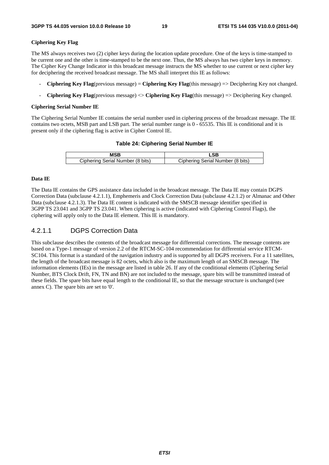#### **Ciphering Key Flag**

The MS always receives two (2) cipher keys during the location update procedure. One of the keys is time-stamped to be current one and the other is time-stamped to be the next one. Thus, the MS always has two cipher keys in memory. The Cipher Key Change Indicator in this broadcast message instructs the MS whether to use current or next cipher key for deciphering the received broadcast message. The MS shall interpret this IE as follows:

- **Ciphering Key Flag**(previous message) = **Ciphering Key Flag**(this message) => Deciphering Key not changed.
- **Ciphering Key Flag**(previous message) <> **Ciphering Key Flag**(this message) => Deciphering Key changed.

#### **Ciphering Serial Number IE**

The Ciphering Serial Number IE contains the serial number used in ciphering process of the broadcast message. The IE contains two octets, MSB part and LSB part. The serial number range is 0 - 65535. This IE is conditional and it is present only if the ciphering flag is active in Cipher Control IE.

#### **Table 24: Ciphering Serial Number IE**

| Ciphering Serial Number (8 bits) | Ciphering Serial Number (8 bits) |
|----------------------------------|----------------------------------|

#### **Data IE**

The Data IE contains the GPS assistance data included in the broadcast message. The Data IE may contain DGPS Correction Data (subclause 4.2.1.1), Emphemeris and Clock Correction Data (subclause 4.2.1.2) or Almanac and Other Data (subclause 4.2.1.3). The Data IE content is indicated with the SMSCB message identifier specified in 3GPP TS 23.041 and 3GPP TS 23.041. When ciphering is active (indicated with Ciphering Control Flags), the ciphering will apply only to the Data IE element. This IE is mandatory.

### 4.2.1.1 DGPS Correction Data

This subclause describes the contents of the broadcast message for differential corrections. The message contents are based on a Type-1 message of version 2.2 of the RTCM-SC-104 recommendation for differential service RTCM-SC104. This format is a standard of the navigation industry and is supported by all DGPS receivers. For a 11 satellites, the length of the broadcast message is 82 octets, which also is the maximum length of an SMSCB message. The information elements (IEs) in the message are listed in table 26. If any of the conditional elements (Ciphering Serial Number, BTS Clock Drift, FN, TN and BN) are not included to the message, spare bits will be transmitted instead of these fields. The spare bits have equal length to the conditional IE, so that the message structure is unchanged (see annex C). The spare bits are set to '0'.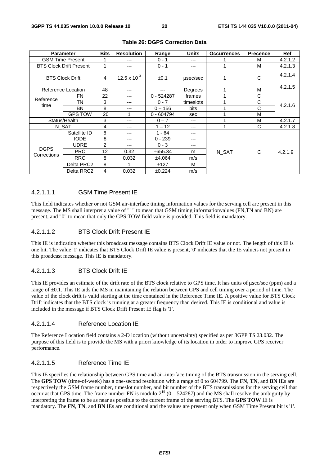|                            | <b>Parameter</b>               | <b>Bits</b>    | <b>Resolution</b>     | Range        | <b>Units</b> | <b>Occurrences</b> | <b>Precence</b> | Ref     |
|----------------------------|--------------------------------|----------------|-----------------------|--------------|--------------|--------------------|-----------------|---------|
| <b>GSM Time Present</b>    |                                |                | ---                   | $0 - 1$      | ---          |                    | M               | 4.2.1.2 |
|                            | <b>BTS Clock Drift Present</b> | 1              | ---                   | $0 - 1$      | ---          |                    | M               | 4.2.1.3 |
|                            | <b>BTS Clock Drift</b>         | 4              | $12.5 \times 10^{-3}$ | $\pm 0.1$    | usec/sec     | 1                  | C               | 4.2.1.4 |
|                            | Reference Location             | 48             | ---                   | ---          | Degrees      |                    | M               | 4.2.1.5 |
| Reference                  | <b>FN</b>                      | 22             | ---                   | $0 - 524287$ | frames       |                    | C               |         |
| time                       | TN                             | 3              | ---                   | $0 - 7$      | timeslots    |                    | C               | 4.2.1.6 |
|                            | BN                             | 8              | ---                   | $0 - 156$    | bits         |                    | C               |         |
|                            | <b>GPS TOW</b>                 | 20             |                       | $0 - 604794$ | sec          | 4                  | M               |         |
| Status/Health              |                                | 3              | ---                   | $0 - 7$      | ---          |                    | M               | 4.2.1.7 |
|                            | N_SAT                          | 4              | ---                   | $1 - 12$     | ---          | 1                  | C               | 4.2.1.8 |
|                            | Satellite ID                   | 6              | ---                   | $1 - 64$     | ---          |                    |                 |         |
|                            | <b>IODE</b>                    | 8              | ---                   | $0 - 239$    | ---          |                    |                 |         |
|                            | UDRE                           | $\overline{c}$ | ---                   | $0 - 3$      | ---          |                    |                 |         |
| <b>DGPS</b><br>Corrections | <b>PRC</b>                     | 12             | 0.32                  | ±655.34      | m            | N SAT              | C               | 4.2.1.9 |
|                            | <b>RRC</b>                     | 8              | 0.032                 | ±4.064       | m/s          |                    |                 |         |
|                            | Delta PRC2                     | 8              |                       | ±127         | м            |                    |                 |         |
|                            | Delta RRC2                     | 4              | 0.032                 | ±0.224       | m/s          |                    |                 |         |

#### **Table 26: DGPS Correction Data**

#### 4.2.1.1.1 GSM Time Present IE

This field indicates whether or not GSM air-interface timing information values for the serving cell are present in this message. The MS shall interpret a value of "1" to mean that GSM timing informationvalues (FN,TN and BN) are present, and "0" to mean that only the GPS TOW field value is provided. This field is mandatory.

#### 4.2.1.1.2 BTS Clock Drift Present IE

This IE is indication whether this broadcast message contains BTS Clock Drift IE value or not. The length of this IE is one bit. The value '1' indicates that BTS Clock Drift IE value is present, '0' indicates that the IE valueis not present in this proadcast message. This IE is mandatory.

### 4.2.1.1.3 BTS Clock Drift IE

This IE provides an estimate of the drift rate of the BTS clock relative to GPS time. It has units of μsec/sec (ppm) and a range of ±0.1. This IE aids the MS in maintaining the relation between GPS and cell timing over a period of time. The value of the clock drift is valid starting at the time contained in the Reference Time IE. A positive value for BTS Clock Drift indicates that the BTS clock is running at a greater frequency than desired. This IE is conditional and value is included in the message if BTS Clock Drift Present IE flag is '1'.

#### 4.2.1.1.4 Reference Location IE

The Reference Location field contains a 2-D location (without uncertainty) specified as per 3GPP TS 23.032. The purpose of this field is to provide the MS with a priori knowledge of its location in order to improve GPS receiver performance.

### 4.2.1.1.5 Reference Time IE

This IE specifies the relationship between GPS time and air-interface timing of the BTS transmission in the serving cell. The **GPS TOW** (time-of-week) has a one-second resolution with a range of 0 to 604799. The **FN**, **TN**, and **BN** IEs are respectively the GSM frame number, timeslot number, and bit number of the BTS transmissions for the serving cell that occur at that GPS time. The frame number FN is modulo- $2^{19}$  (0 – 524287) and the MS shall resolve the ambiguity by interpreting the frame to be as near as possible to the current frame of the serving BTS. The **GPS TOW** IE is mandatory. The **FN**, **TN**, and **BN** IEs are conditional and the values are present only when GSM Time Present bit is '1'.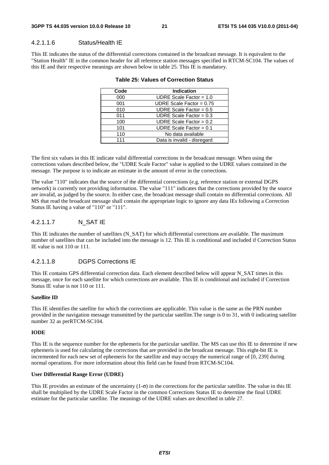#### 4.2.1.1.6 Status/Health IE

This IE indicates the status of the differential corrections contained in the broadcast message. It is equivalent to the "Station Health" IE in the common header for all reference station messages specified in RTCM-SC104. The values of this IE and their respective meanings are shown below in table 25. This IE is mandatory.

| Code | <b>Indication</b>           |
|------|-----------------------------|
| 000  | UDRE Scale Factor = $1.0$   |
| 001  | UDRE Scale Factor = $0.75$  |
| 010  | UDRE Scale Factor = $0.5$   |
| 011  | UDRE Scale Factor = $0.3$   |
| 100  | UDRE Scale Factor = $0.2$   |
| 101  | UDRE Scale Factor = $0.1$   |
| 110  | No data available           |
| 111  | Data is invalid - disregard |
|      |                             |

#### **Table 25: Values of Correction Status**

The first six values in this IE indicate valid differential corrections in the broadcast message. When using the corrections values described below, the "UDRE Scale Factor" value is applied to the UDRE values contained in the message. The purpose is to indicate an estimate in the amount of error in the corrections.

The value "110" indicates that the source of the differential corrections (e.g. reference station or external DGPS network) is currently not providing information. The value "111" indicates that the corrections provided by the source are invalid, as judged by the source. In either case, the broadcast message shall contain no differential corrections. All MS that read the broadcast message shall contain the appropriate logic to ignore any data IEs following a Correction Status IE having a value of "110" or "111".

### 4.2.1.1.7 N\_SAT IE

This IE indicates the number of satellites (N\_SAT) for which differential corrections are available. The maximum number of satellites that can be included into the message is 12. This IE is conditional and included if Correction Status IE value is not 110 or 111.

#### 4.2.1.1.8 DGPS Corrections IE

This IE contains GPS differential correction data. Each element described below will appear N\_SAT times in this message, once for each satellite for which corrections are available. This IE is conditional and included if Correction Status IE value is not 110 or 111.

#### **Satellite ID**

This IE identifies the satellite for which the corrections are applicable. This value is the same as the PRN number provided in the navigation message transmitted by the particular satellite.The range is 0 to 31, with 0 indicating satellite number 32 as perRTCM-SC104.

#### **IODE**

This IE is the sequence number for the ephemeris for the particular satellite. The MS can use this IE to determine if new ephemeris is used for calculating the corrections that are provided in the broadcast message. This eight-bit IE is incremented for each new set of ephemeris for the satellite and may occupy the numerical range of [0, 239] during normal operations. For more information about this field can be found from RTCM-SC104.

#### **User Differential Range Error (UDRE)**

This IE provides an estimate of the uncertainty  $(1-\sigma)$  in the corrections for the particular satellite. The value in this IE shall be multiplied by the UDRE Scale Factor in the common Corrections Status IE to determine the final UDRE estimate for the particular satellite. The meanings of the UDRE values are described in table 27.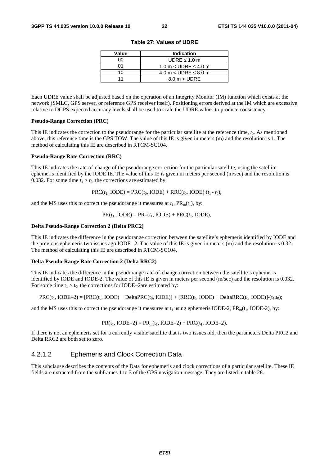| Value | <b>Indication</b>             |
|-------|-------------------------------|
| n۵    | UDRE $\leq 1.0$ m             |
| ሰ1    | 1.0 m $<$ UDRE $\leq$ 4.0 m   |
| 10    | 4.0 m $<$ UDRE $\leq$ 8.0 m   |
|       | $8.0 \text{ m} < \text{UDRE}$ |

**Table 27: Values of UDRE** 

Each UDRE value shall be adjusted based on the operation of an Integrity Monitor (IM) function which exists at the network (SMLC, GPS server, or reference GPS receiver itself). Positioning errors derived at the IM which are excessive relative to DGPS expected accuracy levels shall be used to scale the UDRE values to produce consistency.

#### **Pseudo-Range Correction (PRC)**

This IE indicates the correction to the pseudorange for the particular satellite at the reference time, *t*0. As mentioned above, this reference time is the GPS TOW. The value of this IE is given in meters (m) and the resolution is 1. The method of calculating this IE are described in RTCM-SC104.

#### **Pseudo-Range Rate Correction (RRC)**

This IE indicates the rate-of-change of the pseudorange correction for the particular satellite, using the satellite ephemeris identified by the IODE IE. The value of this IE is given in meters per second (m/sec) and the resolution is 0.032. For some time  $t_1 > t_0$ , the corrections are estimated by:

 $PRC(t_1, IODE) = PRC(t_0, IODE) + RRC(t_0, IODE) \cdot (t_1 - t_0),$ 

and the MS uses this to correct the pseudorange it measures at  $t_1$ ,  $PR_m(t_1)$ , by:

 $PR(t_1, \text{IODE}) = PR_m(t_1, \text{IODE}) + PRC(t_1, \text{IODE}).$ 

#### **Delta Pseudo-Range Correction 2 (Delta PRC2)**

This IE indicates the difference in the pseudorange correction between the satellite's ephemeris identified by IODE and the previous ephemeris two issues ago IODE –2. The value of this IE is given in meters (m) and the resolution is 0.32. The method of calculating this IE are described in RTCM-SC104.

#### **Delta Pseudo-Range Rate Correction 2 (Delta RRC2)**

This IE indicates the difference in the pseudorange rate-of-change correction between the satellite's ephemeris identified by IODE and IODE-2. The value of this IE is given in meters per second (m/sec) and the resolution is 0.032. For some time  $t_1 > t_0$ , the corrections for IODE–2are estimated by:

$$
PRC(t_1, \text{IODE-2}) = [PRC(t_0, \text{IODE}) + \text{Delta}PRC(t_0, \text{IODE})] + [RRC(t_0, \text{IODE}) + \text{Delta}RRC(t_0, \text{IODE}) + (t_1, t_0);
$$

and the MS uses this to correct the pseudorange it measures at  $t_1$  using ephemeris IODE-2, PR<sub>m</sub>( $t_1$ , IODE-2), by:

$$
PR(t_1, IODE-2) = PR_m(t_1, IODE-2) + PRC(t_1, IODE-2).
$$

If there is not an ephemeris set for a currently visible satellite that is two issues old, then the parameters Delta PRC2 and Delta RRC2 are both set to zero.

## 4.2.1.2 Ephemeris and Clock Correction Data

This subclause describes the contents of the Data for ephemeris and clock corrections of a particular satellite. These IE fields are extracted from the subframes 1 to 3 of the GPS navigation message. They are listed in table 28.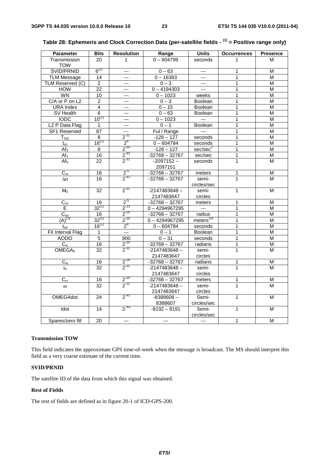| <b>Parameter</b>           | <b>Bits</b>     | <b>Resolution</b>       | Range            | <b>Units</b>             | <b>Occurrences</b> | <b>Presence</b> |
|----------------------------|-----------------|-------------------------|------------------|--------------------------|--------------------|-----------------|
| Transmission               | 20              | 1                       | $0 - 604799$     | seconds                  | 1                  | м               |
| <b>TOW</b>                 |                 |                         |                  |                          |                    |                 |
| SVID/PRNID                 | $6^{(1)}$       | ---                     | $0 - 63$         | $\overline{a}$           | 1                  | M               |
| <b>TLM Message</b>         | 14              | ---                     | $0 - 16383$      | $---$                    | 1                  | M               |
| TLM Reserved (C)           | $\overline{2}$  | $---$                   | $0 - 3$          | $\cdots$                 | 1                  | M               |
| <b>HOW</b>                 | 22              | ---                     | $0 - 4194303$    | $\hspace{0.05cm} \ldots$ | 1                  | M               |
| <b>WN</b>                  | $\overline{10}$ | ---                     | $0 - 1023$       | weeks                    | 1                  | M               |
| C/A or P on L2             | $\overline{c}$  | ---                     | $0 - 3$          | <b>Boolean</b>           | 1                  | M               |
| <b>URA</b> Index           | $\overline{4}$  | ---                     | $0 - 15$         | Boolean                  | $\overline{1}$     | M               |
| SV Health                  | $\overline{6}$  | $---$                   | $0 - 63$         | Boolean                  | 1                  | М               |
| <b>IODC</b>                | $10^{(1)}$      | ---                     | $0 - 1023$       | $-$                      | 1                  | M               |
| L <sub>2</sub> P Data Flag | 1               | $---$                   | $0 - 1$          | <b>Boolean</b>           | 1                  | M               |
| SF1 Reserved               | 87              | ---                     | Ful I Range      | $\overline{a}$           | 1                  | M               |
| $T_{GD}$                   | 8               | $2^{-31}$               | $-128 - 127$     | seconds                  | 1                  | M               |
| $t_{oc}$                   | $16^{(1)}$      | 2 <sup>4</sup>          | $0 - 604784$     | seconds                  | 1                  | M               |
| Af <sub>2</sub>            | 8               | $2^{55}$                | $-128 - 127$     | sec/sec <sup>2</sup>     | 1                  | M               |
| $\overline{Af_1}$          | $\overline{16}$ | $2^{-43}$               | $-32768 - 32767$ | sec/sec                  | 1                  | M               |
| Af <sub>0</sub>            | 22              | $2^{-31}$               | $-2097152-$      | seconds                  | 1                  | M               |
|                            |                 |                         | 2097151          |                          |                    |                 |
| $C_{rs}$                   | 16              | $\frac{2^{5}}{2^{43}}$  | $-32768 - 32767$ | meters                   | 1                  | M               |
| Δn                         | 16              |                         | $-32768 - 32767$ | semi-                    | 1                  | M               |
|                            |                 |                         |                  | circles/sec              |                    |                 |
| $M_0$                      | 32              | $2^{-31}$               | $-2147483648 -$  | semi-                    | 1                  | M               |
|                            |                 |                         | 2147483647       | circles                  |                    |                 |
| $C_{uc}$                   | 16              | $2^{5}$                 | $-32768 - 32767$ | meters                   | 1                  | M               |
| E                          | $32^{(1)}$      | $2^{-33}$               | $0 - 4294967295$ | $\sim$                   | 1                  | M               |
| $C_{us}$                   | 16              | $2^{-29}$               | $-32768 - 32767$ | radius                   | 1                  | M               |
| $(A)^{1/2}$                | $32^{(1)}$      | $2^{-19}$               | $0 - 4294967295$ | meters $^{1/2}$          | 1                  | M               |
| $t_{oe}$                   | $16^{(1)}$      | 2 <sup>4</sup>          | $0 - 604784$     | seconds                  | 1                  | M               |
| Fit Interval Flag          | 1               | $\overline{a}$          | $0 - 1$          | Boolean                  | 1                  | M               |
| <b>AODO</b>                | $\overline{5}$  | 900                     | $0 - 31$         | seconds                  | 1                  | M               |
| $\overline{C_{ic}}$        | 16              | $2^{-29}$               | $-32768 - 32767$ | radians                  | 1                  | $\overline{M}$  |
| OMEGA <sub>0</sub>         | $\overline{32}$ | $2^{-31}$               | $-2147483648 -$  | semi-                    | $\overline{1}$     | M               |
|                            |                 |                         | 2147483647       | circles                  |                    |                 |
| $C_{\mathsf{is}}$          | 16              | $2^{-29}$               | $-32768 - 32767$ | radians                  | 1                  | M               |
| io                         | 32              | $2^{-31}$               | $-2147483648 -$  | semi-                    | 1                  | M               |
|                            |                 |                         | 2147483647       | circles                  |                    |                 |
| $C_{rc}$                   | 16              | $\frac{2^{29}}{2^{31}}$ | $-32768 - 32767$ | meters                   | 1                  | M               |
| $\omega$                   | 32              |                         | $-2147483648 -$  | semi-                    | $\mathbf{1}$       | M               |
|                            |                 |                         | 2147483647       | circles                  |                    |                 |
| <b>OMEGAdot</b>            | 24              | $2^{-43}$               | $-8388608-$      | Semi-                    | 1                  | M               |
|                            |                 |                         | 8388607          | circles/sec              |                    |                 |
| Idot                       | 14              | $2^{-43}$               | $-8192 - 8191$   | Semi-                    | $\mathbf{1}$       | M               |
|                            |                 |                         |                  | circles/sec              |                    |                 |
| Spares/zero fill           | 20              | $\overline{a}$          | $\overline{a}$   | $\overline{a}$           | 1                  | M               |

# **Table 28: Ephemeris and Clock Correction Data (per-satellite fields - (1) = Positive range only)**

#### **Transmission TOW**

This field indicates the approximate GPS time-of-week when the message is broadcast. The MS should interpret this field as a very coarse estimate of the current time.

#### **SVID/PRNID**

The satellite ID of the data from which this signal was obtained.

#### **Rest of Fields**

The rest of fields are defined as in figure 20-1 of ICD-GPS-200.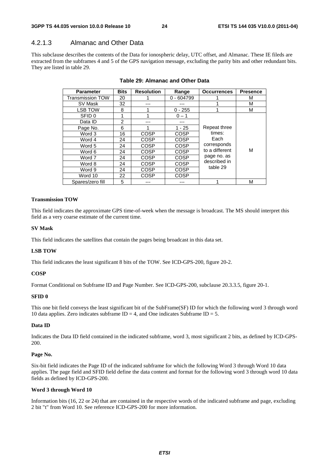### 4.2.1.3 Almanac and Other Data

This subclause describes the contents of the Data for ionospheric delay, UTC offset, and Almanac. These IE fileds are extracted from the subframes 4 and 5 of the GPS navigation message, excluding the parity bits and other redundant bits. They are listed in table 29.

| <b>Parameter</b>        | <b>Bits</b> | <b>Resolution</b> | Range        | <b>Occurrences</b> | <b>Presence</b> |
|-------------------------|-------------|-------------------|--------------|--------------------|-----------------|
| <b>Transmission TOW</b> | 20          |                   | $0 - 604799$ |                    | м               |
| SV Mask                 | 32          |                   |              |                    | М               |
| LSB TOW                 | 8           |                   | $0 - 255$    |                    | М               |
| SFID 0                  | 1           |                   | $0 - 1$      |                    |                 |
| Data ID                 | 2           |                   |              |                    |                 |
| Page No.                | 6           |                   | $1 - 25$     | Repeat three       |                 |
| Word 3                  | 16          | COSP              | <b>COSP</b>  | times:             |                 |
| Word 4                  | 24          | <b>COSP</b>       | <b>COSP</b>  | Each               |                 |
| Word 5                  | 24          | COSP              | <b>COSP</b>  | corresponds        |                 |
| Word 6                  | 24          | COSP              | <b>COSP</b>  | to a different     | М               |
| Word 7                  | 24          | COSP              | <b>COSP</b>  | page no. as        |                 |
| Word 8                  | 24          | COSP              | COSP         | described in       |                 |
| Word 9                  | 24          | COSP              | <b>COSP</b>  | table 29           |                 |
| Word 10                 | 22          | COSP              | <b>COSP</b>  |                    |                 |
| Spares/zero fill        | 5           |                   |              |                    | М               |

#### **Table 29: Almanac and Other Data**

#### **Transmission TOW**

This field indicates the approximate GPS time-of-week when the message is broadcast. The MS should interpret this field as a very coarse estimate of the current time.

#### **SV Mask**

This field indicates the satellites that contain the pages being broadcast in this data set.

#### **LSB TOW**

This field indicates the least significant 8 bits of the TOW. See ICD-GPS-200, figure 20-2.

#### **COSP**

Format Conditional on Subframe ID and Page Number. See ICD-GPS-200, subclause 20.3.3.5, figure 20-1.

#### **SFID 0**

This one bit field conveys the least significant bit of the SubFrame(SF) ID for which the following word 3 through word 10 data applies. Zero indicates subframe  $ID = 4$ , and One indicates Subframe  $ID = 5$ .

#### **Data ID**

Indicates the Data ID field contained in the indicated subframe, word 3, most significant 2 bits, as defined by ICD-GPS-200.

#### **Page No.**

Six-bit field indicates the Page ID of the indicated subframe for which the following Word 3 through Word 10 data applies. The page field and SFID field define the data content and format for the following word 3 through word 10 data fields as defined by ICD-GPS-200.

#### **Word 3 through Word 10**

Information bits (16, 22 or 24) that are contained in the respective words of the indicated subframe and page, excluding 2 bit "t" from Word 10. See reference ICD-GPS-200 for more information.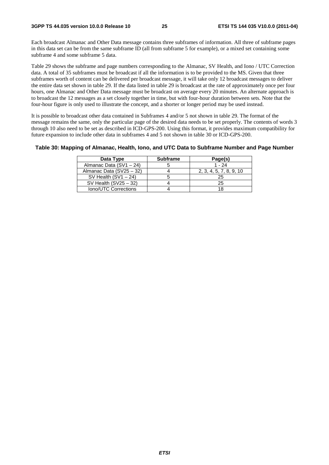Each broadcast Almanac and Other Data message contains three subframes of information. All three of subframe pages in this data set can be from the same subframe ID (all from subframe 5 for example), or a mixed set containing some subframe 4 and some subframe 5 data.

Table 29 shows the subframe and page numbers corresponding to the Almanac, SV Health, and Iono / UTC Correction data. A total of 35 subframes must be broadcast if all the information is to be provided to the MS. Given that three subframes worth of content can be delivered per broadcast message, it will take only 12 broadcast messages to deliver the entire data set shown in table 29. If the data listed in table 29 is broadcast at the rate of approximately once per four hours, one Almanac and Other Data message must be broadcast on average every 20 minutes. An alternate approach is to broadcast the 12 messages as a set closely together in time, but with four-hour duration between sets. Note that the four-hour figure is only used to illustrate the concept, and a shorter or longer period may be used instead.

It is possible to broadcast other data contained in Subframes 4 and/or 5 not shown in table 29. The format of the message remains the same, only the particular page of the desired data needs to be set properly. The contents of words 3 through 10 also need to be set as described in ICD-GPS-200. Using this format, it provides maximum compatibility for future expansion to include other data in subframes 4 and 5 not shown in table 30 or ICD-GPS-200.

#### **Table 30: Mapping of Almanac, Health, Iono, and UTC Data to Subframe Number and Page Number**

| Data Type                | <b>Subframe</b> | Page(s)                 |
|--------------------------|-----------------|-------------------------|
| Almanac Data (SV1 - 24)  |                 | $1 - 24$                |
| Almanac Data (SV25 - 32) |                 | 2, 3, 4, 5, 7, 8, 9, 10 |
| SV Health $(SV1 - 24)$   |                 | 25                      |
| SV Health $(SV25 - 32)$  |                 | 25                      |
| Iono/UTC Corrections     |                 |                         |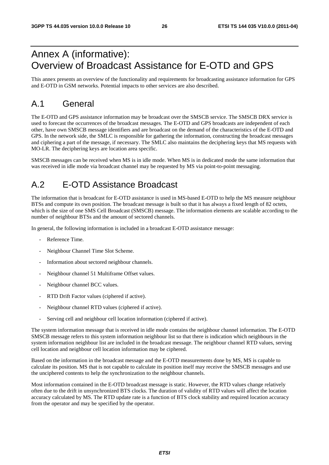# Annex A (informative): Overview of Broadcast Assistance for E-OTD and GPS

This annex presents an overview of the functionality and requirements for broadcasting assistance information for GPS and E-OTD in GSM networks. Potential impacts to other services are also described.

# A.1 General

The E-OTD and GPS assistance information may be broadcast over the SMSCB service. The SMSCB DRX service is used to forecast the occurrences of the broadcast messages. The E-OTD and GPS broadcasts are independent of each other, have own SMSCB message identifiers and are broadcast on the demand of the characteristics of the E-OTD and GPS. In the network side, the SMLC is responsible for gathering the information, constructing the broadcast messages and ciphering a part of the message, if necessary. The SMLC also maintains the deciphering keys that MS requests with MO-LR. The deciphering keys are location area specific.

SMSCB messages can be received when MS is in idle mode. When MS is in dedicated mode the same information that was received in idle mode via broadcast channel may be requested by MS via point-to-point messaging.

# A.2 E-OTD Assistance Broadcast

The information that is broadcast for E-OTD assistance is used in MS-based E-OTD to help the MS measure neighbour BTSs and compute its own position. The broadcast message is built so that it has always a fixed length of 82 octets, which is the size of one SMS Cell Broadcast (SMSCB) message. The information elements are scalable according to the number of neighbour BTSs and the amount of sectored channels.

In general, the following information is included in a broadcast E-OTD assistance message:

- Reference Time.
- Neighbour Channel Time Slot Scheme.
- Information about sectored neighbour channels.
- Neighbour channel 51 Multiframe Offset values.
- Neighbour channel BCC values.
- RTD Drift Factor values (ciphered if active).
- Neighbour channel RTD values (ciphered if active).
- Serving cell and neighbour cell location information (ciphered if active).

The system information message that is received in idle mode contains the neighbour channel information. The E-OTD SMSCB message refers to this system information neighbour list so that there is indication which neighbours in the system information neighbour list are included in the broadcast message. The neighbour channel RTD values, serving cell location and neighbour cell location information may be ciphered.

Based on the information in the broadcast message and the E-OTD measurements done by MS, MS is capable to calculate its position. MS that is not capable to calculate its position itself may receive the SMSCB messages and use the unciphered contents to help the synchronization to the neighbour channels.

Most information contained in the E-OTD broadcast message is static. However, the RTD values change relatively often due to the drift in unsynchronized BTS clocks. The duration of validity of RTD values will affect the location accuracy calculated by MS. The RTD update rate is a function of BTS clock stability and required location accuracy from the operator and may be specified by the operator.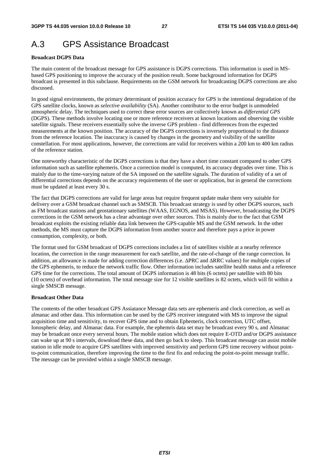# A.3 GPS Assistance Broadcast

#### **Broadcast DGPS Data**

The main content of the broadcast message for GPS assistance is DGPS corrections. This information is used in MSbased GPS positioning to improve the accuracy of the position result. Some background information for DGPS broadcast is presented in this subclause. Requirements on the GSM network for broadcasting DGPS corrections are also discussed.

In good signal environments, the primary determinant of position accuracy for GPS is the intentional degradation of the GPS satellite clocks, known as *selective availability* (SA). Another contributor to the error budget is unmodeled atmospheric delay. The techniques used to correct these error sources are collectively known as *differential GPS* (DGPS). These methods involve locating one or more reference receivers at known locations and observing the visible satellite signals. These receivers essentially solve the inverse GPS problem - find differences from the expected measurements at the known position. The accuracy of the DGPS corrections is inversely proportional to the distance from the reference location. The inaccuracy is caused by changes in the geometry and visibility of the satellite constellation. For most applications, however, the corrections are valid for receivers within a 200 km to 400 km radius of the reference station.

One noteworthy characteristic of the DGPS corrections is that they have a short time constant compared to other GPS information such as satellite ephemeris. Once a correction model is computed, its accuracy degrades over time. This is mainly due to the time-varying nature of the SA imposed on the satellite signals. The duration of validity of a set of differential corrections depends on the accuracy requirements of the user or application, but in general the corrections must be updated at least every 30 s.

The fact that DGPS corrections are valid for large areas but require frequent update make them very suitable for delivery over a GSM broadcast channel such as SMSCB. This broadcast strategy is used by other DGPS sources, such as FM broadcast stations and geostationary satellites (WAAS, EGNOS, and MSAS). However, broadcasting the DGPS corrections in the GSM network has a clear advantage over other sources. This is mainly due to the fact that GSM broadcast exploits the existing reliable data link between the GPS-capable MS and the GSM network. In the other methods, the MS must capture the DGPS information from another source and therefore pays a price in power consumption, complexity, or both.

The format used for GSM broadcast of DGPS corrections includes a list of satellites visible at a nearby reference location, the correction in the range measurement for each satellite, and the rate-of-change of the range correction. In addition, an allowance is made for adding correction differences (i.e. ΔPRC and ΔRRC values) for multiple copies of the GPS ephemeris, to reduce the network traffic flow. Other information includes satellite health status and a reference GPS time for the corrections. The total amount of DGPS information is 48 bits (6 octets) per satellite with 80 bits (10 octets) of overhead information. The total message size for 12 visible satellites is 82 octets, which will fit within a single SMSCB message.

#### **Broadcast Other Data**

The contents of the other broadcast GPS Assiatance Message data sets are ephemeris and clock correction, as well as almanac and other data. This information can be used by the GPS receiver integrated with MS to improve the signal acquisition time and sensitivity, to recover GPS time and to obtain Ephemeris, clock correction, UTC offset, Ionospheric delay, and Almanac data. For example, the ephemris data set may be broadcast every 90 s, and Almanac may be broadcast once every serveral hours. The mobile station which does not require E-OTD and/or DGPS assistance can wake up at 90 s intervals, download these data, and then go back to sleep. This broadcast message can assist mobile station in idle mode to acquire GPS satellites with improved sensitivity and perform GPS time recovery without pointto-point communication, therefore improving the time to the first fix and reducing the point-to-point message traffic. The message can be provided within a single SMSCB message.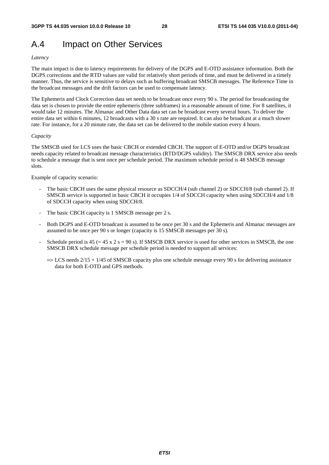# A.4 Impact on Other Services

#### *Latency*

The main impact is due to latency requirements for delivery of the DGPS and E-OTD assistance information. Both the DGPS corrections and the RTD values are valid for relatively short periods of time, and must be delivered in a timely manner. Thus, the service is sensitive to delays such as buffering broadcast SMSCB messages. The Reference Time in the broadcast messages and the drift factors can be used to compensate latency.

The Ephemeris and Clock Correction data set needs to be broadcast once every 90 s. The period for broadcasting the data set is chosen to provide the entire ephemeris (three subframes) in a reasonable amount of time. For 8 satellites, it would take 12 minutes. The Almanac and Other Data data set can be broadcast every several hours. To deliver the entire data set within 6 minutes, 12 broadcasts with a 30 s rate are required. It can also be broadcast at a much slower rate. For instance, for a 20 minute rate, the data set can be delivered to the mobile station every 4 hours.

#### *Capacity*

The SMSCB used for LCS uses the basic CBCH or extended CBCH. The support of E-OTD and/or DGPS broadcast needs capacity related to broadcast message characteristics (RTD/DGPS validity). The SMSCB DRX service also needs to schedule a message that is sent once per schedule period. The maximum schedule period is 48 SMSCB message slots.

Example of capacity scenario:

- The basic CBCH uses the same physical resource as SDCCH/4 (sub channel 2) or SDCCH/8 (sub channel 2). If SMSCB service is supported in basic CBCH it occupies 1/4 of SDCCH capacity when using SDCCH/4 and 1/8 of SDCCH capacity when using SDCCH/8.
- The basic CBCH capacity is 1 SMSCB message per 2 s.
- Both DGPS and E-OTD broadcast is assumed to be once per 30 s and the Ephemeris and Almanac messages are assumed to be once per 90 s or longer (capacity is 15 SMSCB messages per 30 s).
- Schedule period is  $45 (= 45 \times 2 \text{ s} = 90 \text{ s})$ . If SMSCB DRX service is used for other services in SMSCB, the one SMSCB DRX schedule message per schedule period is needed to support all services:
	- $\Rightarrow$  LCS needs 2/15 + 1/45 of SMSCB capacity plus one schedule message every 90 s for delivering assistance data for both E-OTD and GPS methods.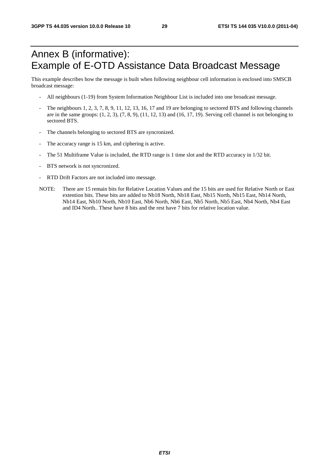# Annex B (informative): Example of E-OTD Assistance Data Broadcast Message

This example describes how the message is built when following neighbour cell information is enclosed into SMSCB broadcast message:

- All neighbours (1-19) from System Information Neighbour List is included into one broadcast message.
- The neighbours 1, 2, 3, 7, 8, 9, 11, 12, 13, 16, 17 and 19 are belonging to sectored BTS and following channels are in the same groups:  $(1, 2, 3)$ ,  $(7, 8, 9)$ ,  $(11, 12, 13)$  and  $(16, 17, 19)$ . Serving cell channel is not belonging to sectored BTS.
- The channels belonging to sectored BTS are syncronized.
- The accuracy range is 15 km, and ciphering is active.
- The 51 Multiframe Value is included, the RTD range is 1 time slot and the RTD accuracy in 1/32 bit.
- BTS network is not syncronized.
- RTD Drift Factors are not included into message.
- NOTE: There are 15 remain bits for Relative Location Values and the 15 bits are used for Relative North or East extention bits. These bits are added to Nb18 North, Nb18 East, Nb15 North, Nb15 East, Nb14 North, Nb14 East, Nb10 North, Nb10 East, Nb6 North, Nb6 East, Nb5 North, Nb5 East, Nb4 North, Nb4 East and ID4 North.. These have 8 bits and the rest have 7 bits for relative location value.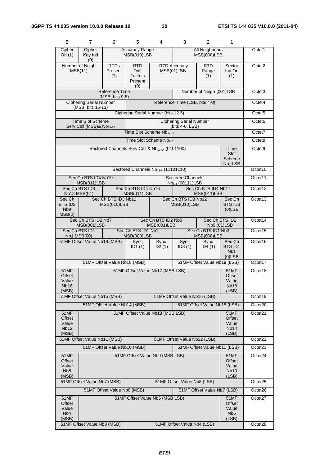| 8                                                             | 7                                                                                                               | 6                                                           | 5                                        | 4                                               | 3                                                        | 2                                        | 1                                                               |                    |
|---------------------------------------------------------------|-----------------------------------------------------------------------------------------------------------------|-------------------------------------------------------------|------------------------------------------|-------------------------------------------------|----------------------------------------------------------|------------------------------------------|-----------------------------------------------------------------|--------------------|
| Cipher<br>On $(1)$                                            | Cipher<br><b>Accuracy Range</b><br>All Neighbours<br>MSB(010)LSB<br><b>MSB(000)LSB</b><br>Key Ind<br>(0)        |                                                             |                                          |                                                 |                                                          |                                          |                                                                 | Octet1             |
|                                                               | <b>RTD</b><br>Number of Neigh<br><b>RTDs</b><br>MSB(11)<br>Present<br>Drift<br>(1)<br>Factors<br>Present<br>(0) |                                                             |                                          |                                                 | <b>RTD Accuracy</b><br>MSB(01)LSB                        | RTD<br>Range<br>(1)                      | Sector<br>Ind On<br>(1)                                         | Octet <sub>2</sub> |
|                                                               | <b>Reference Time</b><br>Number of Neigh (001)LSB<br>(MSB, bits 9-5)                                            |                                                             |                                          |                                                 |                                                          |                                          | Octet <sub>3</sub>                                              |                    |
|                                                               | <b>Ciphering Serial Number</b><br>(MSB, bits 15-13)                                                             |                                                             |                                          |                                                 | Reference Time (LSB, bits 4-0)                           |                                          |                                                                 | Octet4             |
|                                                               |                                                                                                                 |                                                             |                                          | Ciphering Serial Number (bits 12-5)             |                                                          |                                          |                                                                 | Octet <sub>5</sub> |
|                                                               | <b>Time Slot Scheme</b><br>Serv Cell (MSB)& Nb <sub>19-18</sub>                                                 |                                                             |                                          |                                                 | <b>Ciphering Serial Number</b><br>(bits 4-0, LSB)        |                                          |                                                                 | Octet <sub>6</sub> |
|                                                               |                                                                                                                 |                                                             |                                          | Time Slot Scheme Nb <sub>17-10</sub>            |                                                          |                                          |                                                                 | Octet7             |
|                                                               |                                                                                                                 |                                                             |                                          | Time Slot Scheme Nb <sub>9-2</sub>              |                                                          |                                          |                                                                 | Octet8             |
|                                                               |                                                                                                                 | Sectored Channels Serv Cell & Nb <sub>19-14</sub> (0101100) |                                          |                                                 |                                                          |                                          | Time<br>Slot<br>Scheme<br>$Nb1$ LSB                             | Octet <sub>9</sub> |
|                                                               |                                                                                                                 |                                                             |                                          | Sectored Channels Nb <sub>13-6</sub> (11101110) |                                                          |                                          |                                                                 | Octet10            |
|                                                               | Sec Ch BTS ID4 Nb19<br>MSB(011)LSB                                                                              |                                                             |                                          |                                                 | <b>Sectored Channels</b><br>Nb <sub>5-1</sub> (00111)LSB |                                          |                                                                 | Octet11            |
|                                                               | Sec Ch BTS ID3<br>Nb13 MSB(01)                                                                                  |                                                             | Sec Ch BTS ID4 Nb16<br>MSB(011)LSB       |                                                 |                                                          | Sec Ch BTS ID4 Nb17<br>MSB(011)LSB       |                                                                 | Octet12            |
| Sec Ch<br>BTS ID2<br>N <sub>b</sub> 9<br>MSB(0)               |                                                                                                                 | Sec Ch BTS ID3 Nb11<br>MSB(010)LSB                          |                                          |                                                 | Sec Ch BTS ID3 Nb12<br>MSB(010)LSB                       |                                          | Sec Ch<br><b>BTS ID3</b><br>$(0)$ LSB                           | Octet13            |
|                                                               | Sec Ch BTS ID2 Nb7<br>MSB(001)LSB                                                                               |                                                             |                                          | Sec Ch BTS ID2 Nb8<br>MSB(001)LSB               |                                                          | Sec Ch BTS ID2<br>Nb9 (01)LSB            |                                                                 | Octet14            |
|                                                               | Sec Ch BTS ID1<br>Nb1 MSB(00)                                                                                   |                                                             | Sec Ch BTS ID1 Nb2<br><b>MSB(000)LSB</b> |                                                 |                                                          | Sec Ch BTS ID1 Nb3<br><b>MSB(000)LSB</b> |                                                                 | Octet15            |
|                                                               | 51MF Offset Value Nb19 (MSB)                                                                                    |                                                             | Sync<br>ID1(1)                           | Sync<br>ID2(1)                                  | Sync<br>ID3(1)                                           | Sync<br>ID4(1)                           | Sec Ch<br><b>BTSID1</b><br>N <sub>b</sub> 1<br>$(0)$ LSB        | Octet16            |
|                                                               |                                                                                                                 | 51MF Offset Value Nb18 (MSB)                                |                                          |                                                 |                                                          | 51MF Offset Value Nb19 (LSB)             |                                                                 | Octet17            |
| 51MF<br>Offset<br>Value<br><b>Nb16</b><br>(MSB)               |                                                                                                                 |                                                             |                                          | 51MF Offset Value Nb17 (MSB LSB)                |                                                          |                                          | 51MF<br>Offset<br>Value<br>Nb <sub>18</sub><br>(LSB)            | Octet18            |
|                                                               | 51MF Offset Value Nb15 (MSB)                                                                                    |                                                             |                                          |                                                 | 51MF Offset Value Nb16 (LSB)                             |                                          |                                                                 | Octet19            |
|                                                               |                                                                                                                 | 51MF Offset Value Nb14 (MSB)                                |                                          |                                                 |                                                          | 51MF Offset Value Nb15 (LSB)             |                                                                 | Octet20            |
| <b>51MF</b><br><b>Offset</b><br>Value<br><b>Nb12</b><br>(MSB) |                                                                                                                 |                                                             |                                          | 51MF Offset Value Nb13 (MSB LSB)                |                                                          |                                          | 51MF<br>Offset<br>Value<br>Nb <sub>14</sub><br>(LSB)            | Octet21            |
|                                                               | 51MF Offset Value Nb11 (MSB)                                                                                    |                                                             |                                          |                                                 | 51MF Offset Value Nb12 (LSB)                             |                                          |                                                                 | Octet22            |
|                                                               |                                                                                                                 | 51MF Offset Value Nb10 (MSB)                                |                                          |                                                 |                                                          | 51MF Offset Value Nb11 (LSB)             |                                                                 | Octet23            |
| Offset<br>Value<br>N <sub>b</sub> 8<br>(MSB)                  | 51MF Offset Value Nb9 (MSB LSB)<br>51MF<br><b>51MF</b><br>Offset<br>Value<br><b>Nb10</b><br>(LSB)               |                                                             |                                          |                                                 |                                                          |                                          | Octet24                                                         |                    |
|                                                               | 51MF Offset Value Nb7 (MSB)                                                                                     |                                                             |                                          |                                                 | 51MF Offset Value Nb8 (LSB)                              |                                          |                                                                 | Octet25            |
|                                                               |                                                                                                                 | 51MF Offset Value Nb6 (MSB)                                 |                                          |                                                 |                                                          | 51MF Offset Value Nb7 (LSB)              |                                                                 | Octet26            |
| 51MF<br>Offset<br>Value<br>N <sub>b</sub> 4<br>(MSB)          |                                                                                                                 |                                                             |                                          | 51MF Offset Value Nb5 (MSB LSB)                 |                                                          |                                          | 51MF<br>Offset<br>Value<br>N <sub>b</sub> <sub>6</sub><br>(LSB) | Octet27            |
| 51MF Offset Value Nb3 (MSB)<br>51MF Offset Value Nb4 (LSB)    |                                                                                                                 |                                                             |                                          |                                                 |                                                          |                                          | Octet <sub>28</sub>                                             |                    |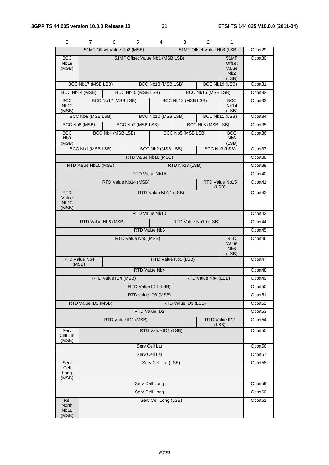| 8                                       | 7.                   | 6                           | 5                   | 4                               | 3                   | 2                           | 1                                                           |                     |
|-----------------------------------------|----------------------|-----------------------------|---------------------|---------------------------------|---------------------|-----------------------------|-------------------------------------------------------------|---------------------|
|                                         |                      | 51MF Offset Value Nb2 (MSB) |                     |                                 |                     | 51MF Offset Value Nb3 (LSB) |                                                             | Octet29             |
| <b>BCC</b><br><b>Nb19</b><br>(MSB)      |                      |                             |                     | 51MF Offset Value Nb1 (MSB LSB) |                     |                             | <b>51MF</b><br>Offset<br>Value<br>N <sub>b</sub> 2<br>(LSB) | Octet30             |
|                                         | BCC Nb17 (MSB LSB)   |                             |                     | BCC Nb18 (MSB LSB)              |                     |                             | BCC Nb19 (LSB)                                              | Octet31             |
|                                         | BCC Nb14 (MSB)       |                             | BCC Nb15 (MSB LSB)  |                                 |                     | BCC Nb16 (MSB LSB)          |                                                             | Octet <sub>32</sub> |
| <b>BCC</b><br>Nb <sub>11</sub><br>(MSB) |                      | BCC Nb12 (MSB LSB)          |                     |                                 | BCC Nb13 (MSB LSB)  |                             | <b>BCC</b><br>Nb <sub>14</sub><br>(LSB)                     | Octet <sub>33</sub> |
|                                         | BCC Nb9 (MSB LSB)    |                             |                     | BCC Nb10 (MSB LSB)              |                     |                             | BCC Nb11 (LSB)                                              | Octet34             |
|                                         | BCC Nb6 (MSB)        |                             | BCC Nb7 (MSB LSB)   |                                 |                     | BCC Nb8 (MSB LSB)           |                                                             | Octet35             |
| BCC<br>N <sub>b</sub> 3<br>(MSB)        |                      | BCC Nb4 (MSB LSB)           |                     |                                 | BCC Nb5 (MSB LSB)   |                             | <b>BCC</b><br>N <sub>b</sub> 6<br>(LSB)                     | Octet36             |
|                                         | BCC Nb1 (MSB LSB)    |                             |                     | <b>BCC Nb2 (MSB LSB)</b>        |                     |                             | BCC Nb3 (LSB)                                               | Octet37             |
|                                         |                      |                             |                     | RTD Value Nb18 (MSB)            |                     |                             |                                                             | Octet <sub>38</sub> |
|                                         | RTD Value Nb15 (MSB) |                             |                     |                                 | RTD Nb18 (LSB)      |                             |                                                             | Octet39             |
|                                         |                      |                             |                     | RTD Value Nb15                  |                     |                             |                                                             | Octet <sub>40</sub> |
|                                         |                      | RTD Value Nb14 (MSB)        |                     |                                 |                     |                             | RTD Value Nb15<br>(LSB)                                     | Octet41             |
| RTD<br>Value<br><b>Nb10</b><br>(MSB)    |                      |                             |                     | RTD Value Nb14 (LSB)            |                     |                             |                                                             | Octet42             |
|                                         |                      |                             |                     | RTD Value Nb10                  |                     |                             |                                                             | Octet43             |
|                                         |                      | RTD Value Nb6 (MSB)         |                     |                                 |                     | RTD Value Nb10 (LSB)        |                                                             | Octet44             |
| RTD Value Nb6                           |                      |                             |                     |                                 |                     |                             | Octet45                                                     |                     |
|                                         |                      |                             | RTD Value Nb5 (MSB) |                                 |                     |                             | <b>RTD</b><br>Value<br>N <sub>b</sub> <sub>6</sub><br>(LSB) | Octet46             |
| (MSB)                                   | RTD Value Nb4        |                             |                     |                                 | RTD Value Nb5 (LSB) |                             |                                                             | Octet47             |
|                                         |                      |                             |                     | RTD Value Nb4                   |                     |                             |                                                             | Octet48             |
|                                         |                      | RTD Value ID4 (MSB)         |                     |                                 |                     | RTD Value Nb4 (LSB)         |                                                             | Octet49             |
|                                         |                      |                             |                     | RTD Value ID4 (LSB)             |                     |                             |                                                             | Octet50             |
|                                         |                      |                             |                     | RTD value ID3 (MSB)             |                     |                             |                                                             | Octet <sub>51</sub> |
|                                         | RTD Value ID2 (MSB)  |                             |                     |                                 | RTD Value ID3 (LSB) |                             |                                                             | Octet <sub>52</sub> |
|                                         |                      |                             |                     | RTD Value ID2                   |                     |                             |                                                             | Octet53             |
|                                         |                      | RTD Value ID1 (MSB)         |                     |                                 |                     |                             | RTD Value ID2<br>(LSB)                                      | Octet54             |
| Serv<br>Cell Lat<br>(MSB)               |                      |                             |                     | RTD Value ID1 (LSB)             |                     |                             |                                                             | Octet <sub>55</sub> |
| Serv Cell Lat                           |                      |                             |                     |                                 |                     |                             | Octet56                                                     |                     |
|                                         |                      |                             |                     | Serv Cell Lat                   |                     |                             |                                                             | Octet57             |
| Serv<br>Cell<br>Long<br>(MSB)           |                      |                             |                     | Serv Cell Lat (LSB)             |                     |                             |                                                             | Octet58             |
|                                         |                      |                             |                     | Serv Cell Long                  |                     |                             |                                                             | Octet59             |
|                                         |                      |                             |                     | Serv Cell Long                  |                     |                             |                                                             | Octet60             |
| Rel<br>North<br><b>Nb18</b><br>(MSB)    |                      |                             |                     | Serv Cell Long (LSB)            |                     |                             |                                                             | Octet61             |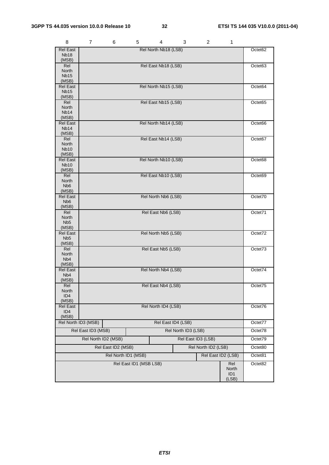| 8                                         | 7                                         | 6 | 5                      | 4                    | 3 | 2       | 1            |         |
|-------------------------------------------|-------------------------------------------|---|------------------------|----------------------|---|---------|--------------|---------|
| <b>Rel East</b>                           |                                           |   |                        | Rel North Nb18 (LSB) |   |         |              | Octet62 |
| Nb <sub>18</sub><br>(MSB)                 |                                           |   |                        |                      |   |         |              |         |
| Rel                                       |                                           |   |                        | Rel East Nb18 (LSB)  |   |         |              | Octet63 |
| North<br><b>Nb15</b>                      |                                           |   |                        |                      |   |         |              |         |
| (MSB)                                     |                                           |   |                        |                      |   |         |              |         |
| <b>Rel East</b>                           |                                           |   |                        | Rel North Nb15 (LSB) |   |         |              | Octet64 |
| <b>Nb15</b><br>(MSB)                      |                                           |   |                        |                      |   |         |              |         |
| Rel                                       |                                           |   |                        | Rel East Nb15 (LSB)  |   |         |              | Octet65 |
| North                                     |                                           |   |                        |                      |   |         |              |         |
| Nb <sub>14</sub><br>(MSB)                 |                                           |   |                        |                      |   |         |              |         |
| <b>Rel East</b>                           |                                           |   |                        | Rel North Nb14 (LSB) |   |         |              | Octet66 |
| Nb <sub>14</sub>                          |                                           |   |                        |                      |   |         |              |         |
| (MSB)<br>Rel                              |                                           |   |                        | Rel East Nb14 (LSB)  |   |         |              | Octet67 |
| North                                     |                                           |   |                        |                      |   |         |              |         |
| <b>Nb10</b><br>(MSB)                      |                                           |   |                        |                      |   |         |              |         |
| <b>Rel East</b>                           |                                           |   |                        | Rel North Nb10 (LSB) |   |         |              | Octet68 |
| <b>Nb10</b>                               |                                           |   |                        |                      |   |         |              |         |
| (MSB)<br>Rel                              |                                           |   |                        | Rel East Nb10 (LSB)  |   |         |              | Octet69 |
| North                                     |                                           |   |                        |                      |   |         |              |         |
| Nb <sub>6</sub>                           |                                           |   |                        |                      |   |         |              |         |
| (MSB)<br><b>Rel East</b>                  |                                           |   |                        | Rel North Nb6 (LSB)  |   |         |              | Octet70 |
| N <sub>b</sub> 6                          |                                           |   |                        |                      |   |         |              |         |
| (MSB)                                     |                                           |   |                        |                      |   |         |              |         |
| Rel<br>North                              |                                           |   |                        | Rel East Nb6 (LSB)   |   |         |              | Octet71 |
| N <sub>b5</sub>                           |                                           |   |                        |                      |   |         |              |         |
| (MSB)<br><b>Rel East</b>                  |                                           |   |                        | Rel North Nb5 (LSB)  |   |         |              | Octet72 |
| Nb <sub>5</sub>                           |                                           |   |                        |                      |   |         |              |         |
| (MSB)                                     |                                           |   |                        |                      |   |         |              |         |
| Rel<br>North                              | Rel East Nb5 (LSB)                        |   |                        |                      |   | Octet73 |              |         |
| Nb <sub>4</sub>                           |                                           |   |                        |                      |   |         |              |         |
| (MSB)<br><b>Rel East</b>                  |                                           |   |                        |                      |   |         |              | Octet74 |
| N <sub>b</sub> 4                          | Rel North Nb4 (LSB)                       |   |                        |                      |   |         |              |         |
| (MSB)                                     |                                           |   |                        |                      |   |         |              |         |
| Rel<br>North                              | Rel East Nb4 (LSB)                        |   |                        |                      |   | Octet/5 |              |         |
| ID4                                       |                                           |   |                        |                      |   |         |              |         |
| (MSB)                                     |                                           |   |                        |                      |   |         |              |         |
| <b>Rel East</b><br>ID <sub>4</sub>        | Rel North ID4 (LSB)                       |   |                        |                      |   | Octet76 |              |         |
| (MSB)                                     |                                           |   |                        |                      |   |         |              |         |
|                                           | Rel North ID3 (MSB)                       |   |                        | Rel East ID4 (LSB)   |   |         |              | Octet77 |
|                                           | Rel East ID3 (MSB)<br>Rel North ID3 (LSB) |   |                        |                      |   |         | Octet78      |         |
| Rel North ID2 (MSB)<br>Rel East ID3 (LSB) |                                           |   |                        |                      |   |         | Octet79      |         |
| Rel East ID2 (MSB)<br>Rel North ID2 (LSB) |                                           |   |                        |                      |   |         | Octet80      |         |
| Rel North ID1 (MSB)<br>Rel East ID2 (LSB) |                                           |   |                        |                      |   | Octet81 |              |         |
|                                           |                                           |   | Rel East ID1 (MSB LSB) |                      |   |         | Rel          | Octet82 |
|                                           |                                           |   |                        |                      |   |         | North        |         |
|                                           |                                           |   |                        |                      |   |         | ID1<br>(LSB) |         |

*ETSI*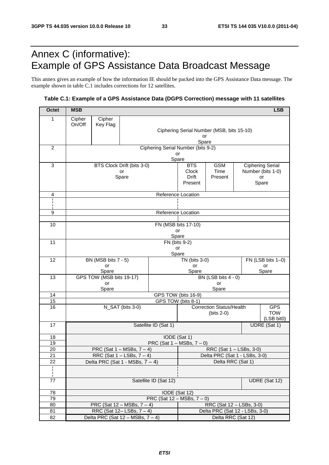# Annex C (informative): Example of GPS Assistance Data Broadcast Message

This annex gives an example of how the information IE should be packed into the GPS Assistance Data message. The example shown in table C.1 includes corrections for 12 satellites.

### **Table C.1: Example of a GPS Assistance Data (DGPS Correction) message with 11 satellites**

| <b>Octet</b>    | <b>MSB</b><br><b>LSB</b>                                           |                                                   |                            |                                                 |                                                          |                                       |                         |                   |                          |
|-----------------|--------------------------------------------------------------------|---------------------------------------------------|----------------------------|-------------------------------------------------|----------------------------------------------------------|---------------------------------------|-------------------------|-------------------|--------------------------|
| 1               | Cipher                                                             | Cipher                                            |                            |                                                 |                                                          |                                       |                         |                   |                          |
|                 | On/Off                                                             | Key Flag                                          |                            |                                                 |                                                          |                                       |                         |                   |                          |
|                 |                                                                    |                                                   |                            | Ciphering Serial Number (MSB, bits 15-10)<br>or |                                                          |                                       |                         |                   |                          |
|                 |                                                                    |                                                   |                            |                                                 | Spare                                                    |                                       |                         |                   |                          |
| $\overline{c}$  |                                                                    |                                                   |                            | Ciphering Serial Number (bits 9-2)              |                                                          |                                       |                         |                   |                          |
|                 | or<br>Spare                                                        |                                                   |                            |                                                 |                                                          |                                       |                         |                   |                          |
| 3               |                                                                    |                                                   | BTS Clock Drift (bits 3-0) |                                                 | <b>BTS</b>                                               | <b>GSM</b><br><b>Ciphering Serial</b> |                         |                   |                          |
|                 |                                                                    |                                                   | or<br>Spare                |                                                 | Clock<br>Drift                                           | Time<br>Present                       | Number (bits 1-0)<br>or |                   |                          |
|                 |                                                                    |                                                   |                            |                                                 | Present                                                  |                                       |                         |                   | Spare                    |
|                 |                                                                    |                                                   |                            |                                                 |                                                          |                                       |                         |                   |                          |
| 4               |                                                                    |                                                   |                            | Reference Location                              |                                                          |                                       |                         |                   |                          |
|                 |                                                                    |                                                   |                            |                                                 |                                                          |                                       |                         |                   |                          |
| 9               |                                                                    |                                                   |                            | Reference Location                              |                                                          |                                       |                         |                   |                          |
|                 |                                                                    |                                                   |                            |                                                 |                                                          |                                       |                         |                   |                          |
| 10              |                                                                    |                                                   |                            |                                                 | FN (MSB bits 17-10)<br>or                                |                                       |                         |                   |                          |
|                 |                                                                    |                                                   |                            | Spare                                           |                                                          |                                       |                         |                   |                          |
| 11              |                                                                    | FN (bits 9-2)                                     |                            |                                                 |                                                          |                                       |                         |                   |                          |
|                 |                                                                    |                                                   |                            | or<br>Spare                                     |                                                          |                                       |                         |                   |                          |
| 12              | BN (MSB bits 7 - 5)                                                |                                                   |                            |                                                 | TN (bits 3-0)                                            |                                       |                         | FN (LSB bits 1-0) |                          |
|                 |                                                                    | or                                                |                            |                                                 | or<br>Spare<br>Spare                                     |                                       |                         |                   | or                       |
| 13              |                                                                    | Spare<br>GPS TOW (MSB bits 19-17)                 |                            |                                                 |                                                          | BN (LSB bits 4 - 0)                   |                         |                   |                          |
|                 |                                                                    | or                                                |                            |                                                 |                                                          | or                                    |                         |                   |                          |
| 14              | Spare<br>Spare                                                     |                                                   |                            |                                                 |                                                          |                                       |                         |                   |                          |
| 15              | GPS TOW (bits 16-9)<br>GPS TOW (bits 8-1)                          |                                                   |                            |                                                 |                                                          |                                       |                         |                   |                          |
| 16              | N_SAT (bits 3-0)                                                   |                                                   |                            |                                                 | <b>Correction Status/Health</b>                          |                                       |                         | <b>GPS</b>        |                          |
|                 |                                                                    |                                                   |                            |                                                 |                                                          | (bits $2-0$ )                         |                         |                   | <b>TOW</b><br>(LSB bit0) |
| 17              | Satellite ID (Sat 1)                                               |                                                   |                            |                                                 |                                                          |                                       |                         | UDRE (Sat 1)      |                          |
|                 |                                                                    |                                                   |                            |                                                 |                                                          |                                       |                         |                   |                          |
| 18              | IODE (Sat 1)                                                       |                                                   |                            |                                                 |                                                          |                                       |                         |                   |                          |
| 19<br>20        | PRC (Sat $1 - MSBs$ , $7 - 0$ )<br>PRC (Sat $1 - MSBs$ , $7 - 4$ ) |                                                   |                            |                                                 |                                                          |                                       |                         |                   |                          |
| $\overline{21}$ | RRC (Sat $1 -$ LSBs, $7 - 4$ )                                     |                                                   |                            |                                                 | RRC (Sat 1 - LSBs, 3-0)<br>Delta PRC (Sat 1 - LSBs, 3-0) |                                       |                         |                   |                          |
| 22              | Delta PRC (Sat 1 - MSBs, $7 - 4$ )                                 |                                                   |                            |                                                 | Delta RRC (Sat 1)                                        |                                       |                         |                   |                          |
| i.              |                                                                    |                                                   |                            |                                                 |                                                          |                                       |                         |                   |                          |
| 77              | Satellite ID (Sat 12)<br>UDRE (Sat 12)                             |                                                   |                            |                                                 |                                                          |                                       |                         |                   |                          |
|                 |                                                                    |                                                   |                            |                                                 |                                                          |                                       |                         |                   |                          |
| 78<br>79        |                                                                    | IODE (Sat 12)<br>PRC (Sat $12 - MSBs$ , $7 - 0$ ) |                            |                                                 |                                                          |                                       |                         |                   |                          |
| 80              | PRC (Sat $12 - MSBs$ , $7 - 4$ )<br>RRC (Sat 12 - LSBs, 3-0)       |                                                   |                            |                                                 |                                                          |                                       |                         |                   |                          |
| 81              | RRC (Sat $12 - LSBs$ , $7 - 4$ )                                   |                                                   |                            |                                                 | Delta PRC (Sat 12 - LSBs, 3-0)                           |                                       |                         |                   |                          |
| 82              | Delta PRC (Sat $12 - MSBs$ , $7 - 4$ )                             |                                                   |                            |                                                 | Delta RRC (Sat 12)                                       |                                       |                         |                   |                          |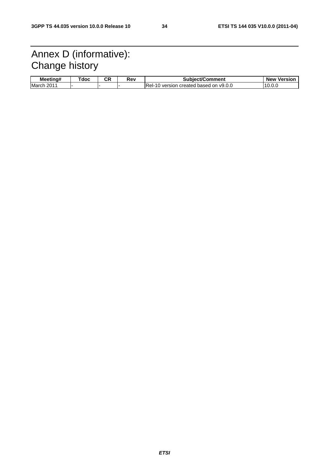# Annex D (informative): Change history

| <br>Meetina# | doc | ∼⊓<br>vr. | Rev | $\sim$ this stiff<br>Subiect/Comment                  | <b>Version</b><br><b>New</b> |
|--------------|-----|-----------|-----|-------------------------------------------------------|------------------------------|
| March<br>201 |     |           |     | IRel-<br>v9.0.0<br>created<br>version<br>based<br>on. | '10                          |